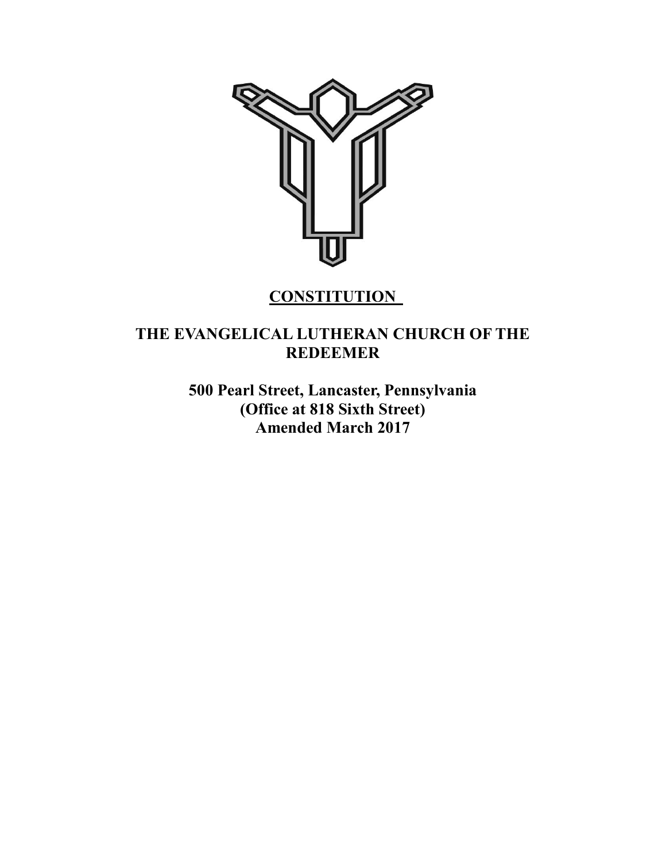

# **CONSTITUTION**

# **THE EVANGELICAL LUTHERAN CHURCH OF THE REDEEMER**

**500 Pearl Street, Lancaster, Pennsylvania (Office at 818 Sixth Street) Amended March 2017**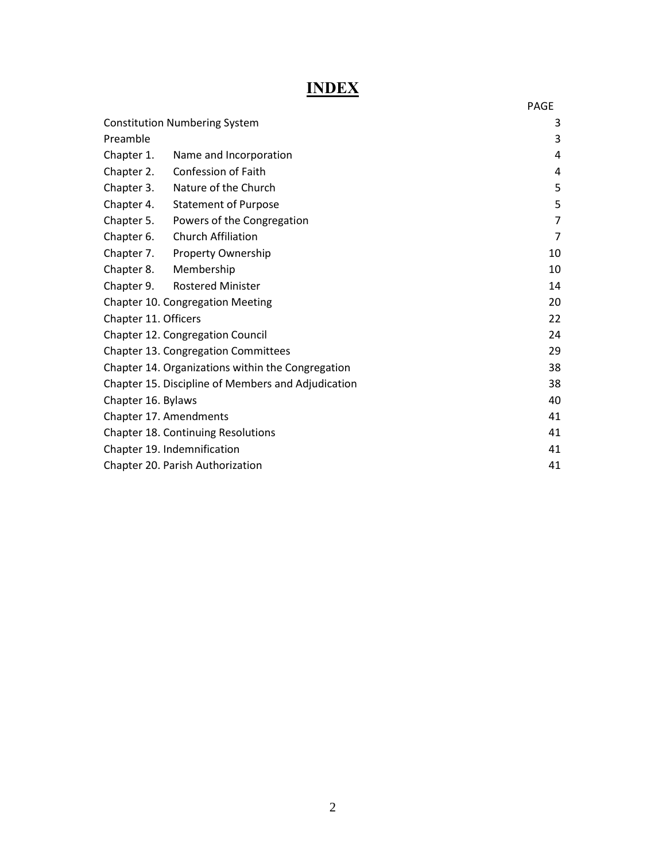# **INDEX**

|                                                    | <b>PAGE</b>    |
|----------------------------------------------------|----------------|
| <b>Constitution Numbering System</b>               | 3              |
| Preamble                                           | 3              |
| Chapter 1.<br>Name and Incorporation               | 4              |
| <b>Confession of Faith</b><br>Chapter 2.           | 4              |
| Nature of the Church<br>Chapter 3.                 | 5              |
| Chapter 4.<br><b>Statement of Purpose</b>          | 5              |
| Chapter 5.<br>Powers of the Congregation           | $\overline{7}$ |
| <b>Church Affiliation</b><br>Chapter 6.            | $\overline{7}$ |
| Chapter 7. Property Ownership                      | 10             |
| Chapter 8. Membership                              | 10             |
| <b>Rostered Minister</b><br>Chapter 9.             | 14             |
| <b>Chapter 10. Congregation Meeting</b>            | 20             |
| Chapter 11. Officers                               | 22             |
| Chapter 12. Congregation Council                   | 24             |
| Chapter 13. Congregation Committees                | 29             |
| Chapter 14. Organizations within the Congregation  | 38             |
| Chapter 15. Discipline of Members and Adjudication | 38             |
| Chapter 16. Bylaws                                 | 40             |
| Chapter 17. Amendments                             | 41             |
| <b>Chapter 18. Continuing Resolutions</b>          | 41             |
| Chapter 19. Indemnification                        | 41             |
| Chapter 20. Parish Authorization                   | 41             |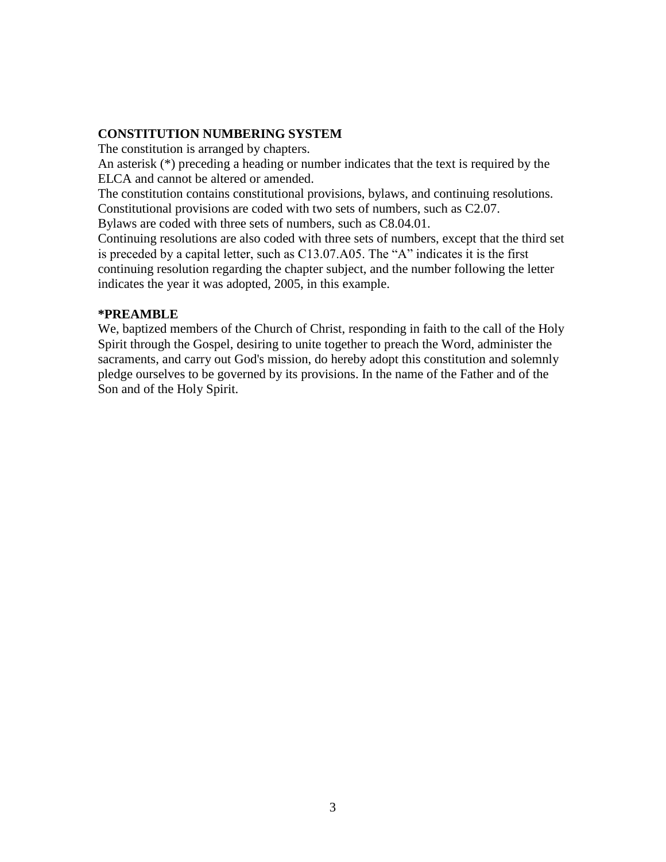#### **CONSTITUTION NUMBERING SYSTEM**

The constitution is arranged by chapters.

An asterisk (\*) preceding a heading or number indicates that the text is required by the ELCA and cannot be altered or amended.

The constitution contains constitutional provisions, bylaws, and continuing resolutions. Constitutional provisions are coded with two sets of numbers, such as C2.07.

Bylaws are coded with three sets of numbers, such as C8.04.01.

Continuing resolutions are also coded with three sets of numbers, except that the third set is preceded by a capital letter, such as C13.07.A05. The "A" indicates it is the first continuing resolution regarding the chapter subject, and the number following the letter indicates the year it was adopted, 2005, in this example.

#### **\*PREAMBLE**

We, baptized members of the Church of Christ, responding in faith to the call of the Holy Spirit through the Gospel, desiring to unite together to preach the Word, administer the sacraments, and carry out God's mission, do hereby adopt this constitution and solemnly pledge ourselves to be governed by its provisions. In the name of the Father and of the Son and of the Holy Spirit.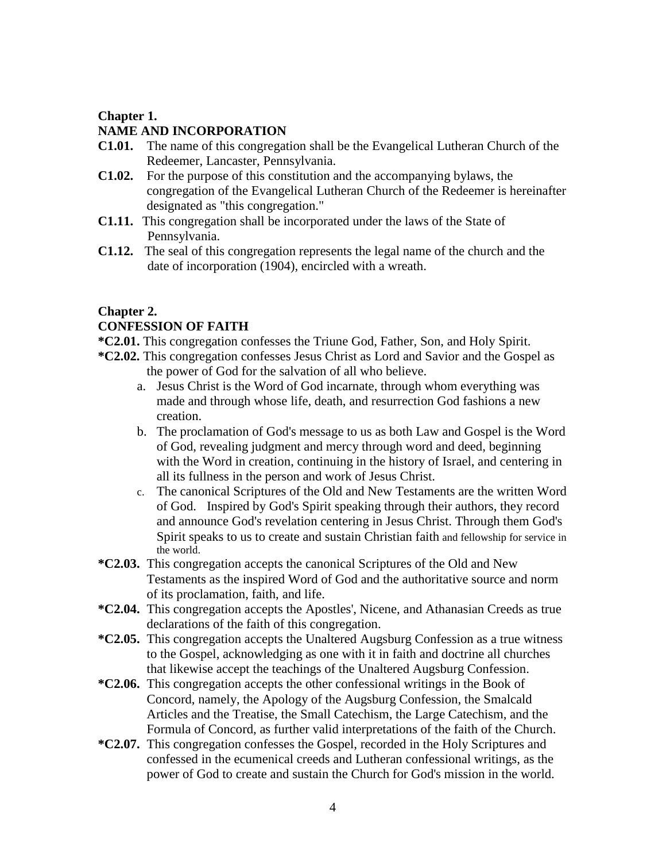### **Chapter 1.**

### **NAME AND INCORPORATION**

- **C1.01.** The name of this congregation shall be the Evangelical Lutheran Church of the Redeemer, Lancaster, Pennsylvania.
- **C1.02.** For the purpose of this constitution and the accompanying bylaws, the congregation of the Evangelical Lutheran Church of the Redeemer is hereinafter designated as "this congregation."
- **C1.11.** This congregation shall be incorporated under the laws of the State of Pennsylvania.
- **C1.12.** The seal of this congregation represents the legal name of the church and the date of incorporation (1904), encircled with a wreath.

#### **Chapter 2.**

#### **CONFESSION OF FAITH**

- **\*C2.01.** This congregation confesses the Triune God, Father, Son, and Holy Spirit.
- **\*C2.02.** This congregation confesses Jesus Christ as Lord and Savior and the Gospel as the power of God for the salvation of all who believe.
	- a. Jesus Christ is the Word of God incarnate, through whom everything was made and through whose life, death, and resurrection God fashions a new creation.
	- b. The proclamation of God's message to us as both Law and Gospel is the Word of God, revealing judgment and mercy through word and deed, beginning with the Word in creation, continuing in the history of Israel, and centering in all its fullness in the person and work of Jesus Christ.
	- c. The canonical Scriptures of the Old and New Testaments are the written Word of God. Inspired by God's Spirit speaking through their authors, they record and announce God's revelation centering in Jesus Christ. Through them God's Spirit speaks to us to create and sustain Christian faith and fellowship for service in the world.
- **\*C2.03.** This congregation accepts the canonical Scriptures of the Old and New Testaments as the inspired Word of God and the authoritative source and norm of its proclamation, faith, and life.
- **\*C2.04.** This congregation accepts the Apostles', Nicene, and Athanasian Creeds as true declarations of the faith of this congregation.
- **\*C2.05.** This congregation accepts the Unaltered Augsburg Confession as a true witness to the Gospel, acknowledging as one with it in faith and doctrine all churches that likewise accept the teachings of the Unaltered Augsburg Confession.
- **\*C2.06.** This congregation accepts the other confessional writings in the Book of Concord, namely, the Apology of the Augsburg Confession, the Smalcald Articles and the Treatise, the Small Catechism, the Large Catechism, and the Formula of Concord, as further valid interpretations of the faith of the Church.
- **\*C2.07.** This congregation confesses the Gospel, recorded in the Holy Scriptures and confessed in the ecumenical creeds and Lutheran confessional writings, as the power of God to create and sustain the Church for God's mission in the world.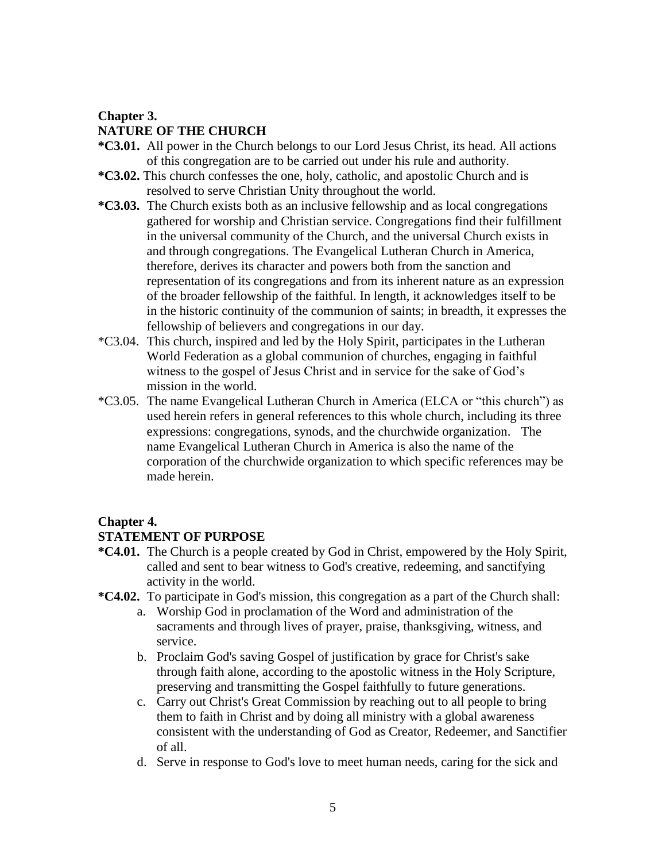#### **Chapter 3.**

# **NATURE OF THE CHURCH**

- **\*C3.01.** All power in the Church belongs to our Lord Jesus Christ, its head. All actions of this congregation are to be carried out under his rule and authority.
- **\*C3.02.** This church confesses the one, holy, catholic, and apostolic Church and is resolved to serve Christian Unity throughout the world.
- **\*C3.03.** The Church exists both as an inclusive fellowship and as local congregations gathered for worship and Christian service. Congregations find their fulfillment in the universal community of the Church, and the universal Church exists in and through congregations. The Evangelical Lutheran Church in America, therefore, derives its character and powers both from the sanction and representation of its congregations and from its inherent nature as an expression of the broader fellowship of the faithful. In length, it acknowledges itself to be in the historic continuity of the communion of saints; in breadth, it expresses the fellowship of believers and congregations in our day.
- \*C3.04. This church, inspired and led by the Holy Spirit, participates in the Lutheran World Federation as a global communion of churches, engaging in faithful witness to the gospel of Jesus Christ and in service for the sake of God's mission in the world.
- \*C3.05. The name Evangelical Lutheran Church in America (ELCA or "this church") as used herein refers in general references to this whole church, including its three expressions: congregations, synods, and the churchwide organization. The name Evangelical Lutheran Church in America is also the name of the corporation of the churchwide organization to which specific references may be made herein.

## **Chapter 4.**

## **STATEMENT OF PURPOSE**

- **\*C4.01.** The Church is a people created by God in Christ, empowered by the Holy Spirit, called and sent to bear witness to God's creative, redeeming, and sanctifying activity in the world.
- **\*C4.02.** To participate in God's mission, this congregation as a part of the Church shall:
	- a. Worship God in proclamation of the Word and administration of the sacraments and through lives of prayer, praise, thanksgiving, witness, and service.
	- b. Proclaim God's saving Gospel of justification by grace for Christ's sake through faith alone, according to the apostolic witness in the Holy Scripture, preserving and transmitting the Gospel faithfully to future generations.
	- c. Carry out Christ's Great Commission by reaching out to all people to bring them to faith in Christ and by doing all ministry with a global awareness consistent with the understanding of God as Creator, Redeemer, and Sanctifier of all.
	- d. Serve in response to God's love to meet human needs, caring for the sick and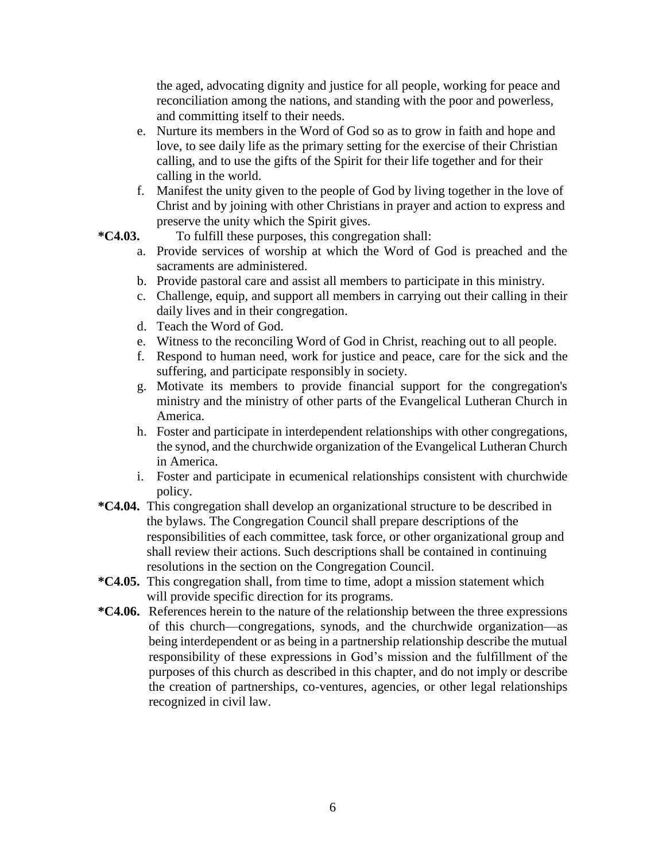the aged, advocating dignity and justice for all people, working for peace and reconciliation among the nations, and standing with the poor and powerless, and committing itself to their needs.

- e. Nurture its members in the Word of God so as to grow in faith and hope and love, to see daily life as the primary setting for the exercise of their Christian calling, and to use the gifts of the Spirit for their life together and for their calling in the world.
- f. Manifest the unity given to the people of God by living together in the love of Christ and by joining with other Christians in prayer and action to express and preserve the unity which the Spirit gives.
- **\*C4.03.** To fulfill these purposes, this congregation shall:
	- a. Provide services of worship at which the Word of God is preached and the sacraments are administered.
	- b. Provide pastoral care and assist all members to participate in this ministry.
	- c. Challenge, equip, and support all members in carrying out their calling in their daily lives and in their congregation.
	- d. Teach the Word of God.
	- e. Witness to the reconciling Word of God in Christ, reaching out to all people.
	- f. Respond to human need, work for justice and peace, care for the sick and the suffering, and participate responsibly in society.
	- g. Motivate its members to provide financial support for the congregation's ministry and the ministry of other parts of the Evangelical Lutheran Church in America.
	- h. Foster and participate in interdependent relationships with other congregations, the synod, and the churchwide organization of the Evangelical Lutheran Church in America.
	- i. Foster and participate in ecumenical relationships consistent with churchwide policy.
- **\*C4.04.** This congregation shall develop an organizational structure to be described in the bylaws. The Congregation Council shall prepare descriptions of the responsibilities of each committee, task force, or other organizational group and shall review their actions. Such descriptions shall be contained in continuing resolutions in the section on the Congregation Council.
- **\*C4.05.** This congregation shall, from time to time, adopt a mission statement which will provide specific direction for its programs.
- **\*C4.06.** References herein to the nature of the relationship between the three expressions of this church—congregations, synods, and the churchwide organization—as being interdependent or as being in a partnership relationship describe the mutual responsibility of these expressions in God's mission and the fulfillment of the purposes of this church as described in this chapter, and do not imply or describe the creation of partnerships, co-ventures, agencies, or other legal relationships recognized in civil law.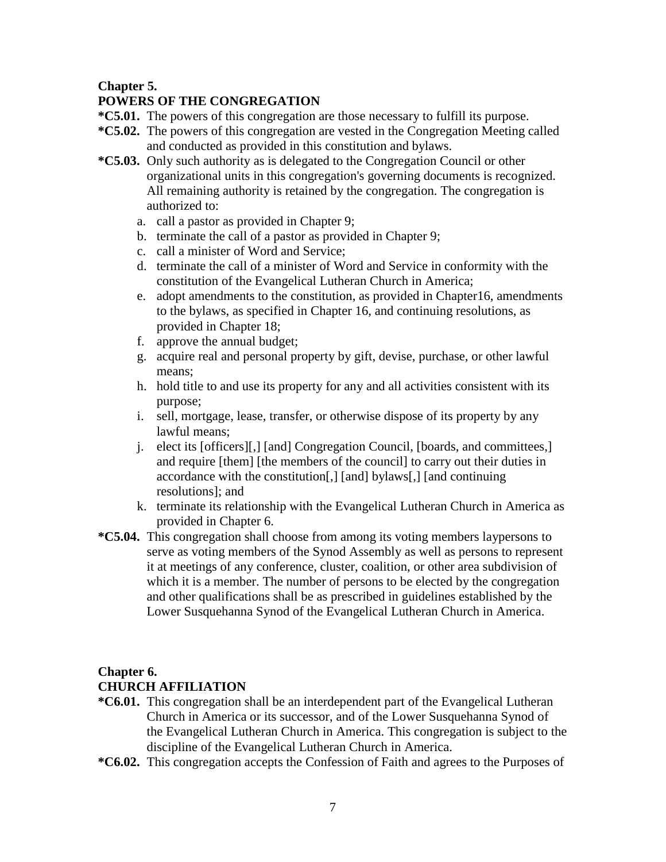## **Chapter 5.**

# **POWERS OF THE CONGREGATION**

- **\*C5.01.** The powers of this congregation are those necessary to fulfill its purpose.
- **\*C5.02.** The powers of this congregation are vested in the Congregation Meeting called and conducted as provided in this constitution and bylaws.
- **\*C5.03.** Only such authority as is delegated to the Congregation Council or other organizational units in this congregation's governing documents is recognized. All remaining authority is retained by the congregation. The congregation is authorized to:
	- a. call a pastor as provided in Chapter 9;
	- b. terminate the call of a pastor as provided in Chapter 9;
	- c. call a minister of Word and Service;
	- d. terminate the call of a minister of Word and Service in conformity with the constitution of the Evangelical Lutheran Church in America;
	- e. adopt amendments to the constitution, as provided in Chapter16, amendments to the bylaws, as specified in Chapter 16, and continuing resolutions, as provided in Chapter 18;
	- f. approve the annual budget;
	- g. acquire real and personal property by gift, devise, purchase, or other lawful means;
	- h. hold title to and use its property for any and all activities consistent with its purpose;
	- i. sell, mortgage, lease, transfer, or otherwise dispose of its property by any lawful means;
	- j. elect its [officers][,] [and] Congregation Council, [boards, and committees,] and require [them] [the members of the council] to carry out their duties in accordance with the constitution[,] [and] bylaws[,] [and continuing resolutions]; and
	- k. terminate its relationship with the Evangelical Lutheran Church in America as provided in Chapter 6.
- **\*C5.04.** This congregation shall choose from among its voting members laypersons to serve as voting members of the Synod Assembly as well as persons to represent it at meetings of any conference, cluster, coalition, or other area subdivision of which it is a member. The number of persons to be elected by the congregation and other qualifications shall be as prescribed in guidelines established by the Lower Susquehanna Synod of the Evangelical Lutheran Church in America.

## **Chapter 6.**

## **CHURCH AFFILIATION**

- **\*C6.01.** This congregation shall be an interdependent part of the Evangelical Lutheran Church in America or its successor, and of the Lower Susquehanna Synod of the Evangelical Lutheran Church in America. This congregation is subject to the discipline of the Evangelical Lutheran Church in America.
- **\*C6.02.** This congregation accepts the Confession of Faith and agrees to the Purposes of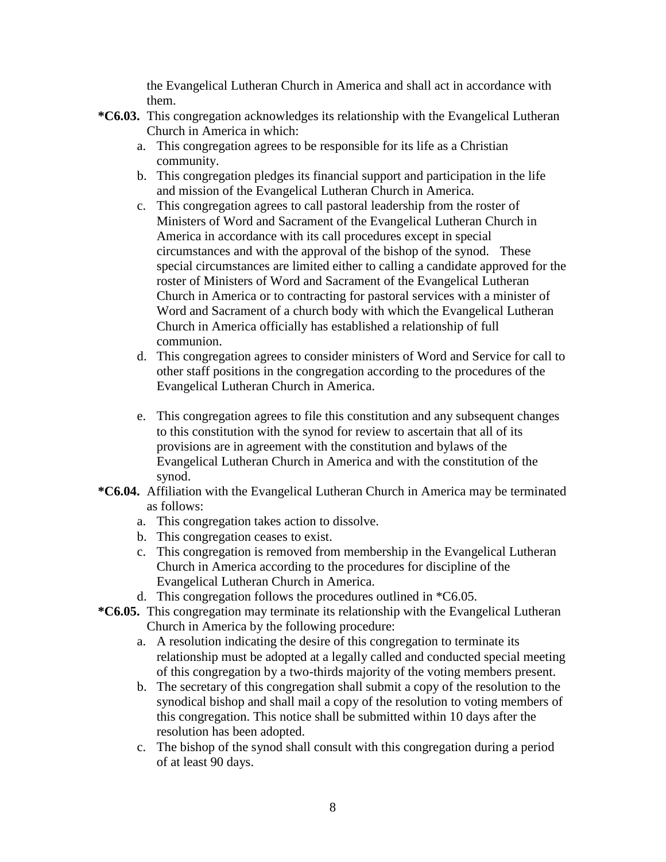the Evangelical Lutheran Church in America and shall act in accordance with them.

- **\*C6.03.** This congregation acknowledges its relationship with the Evangelical Lutheran Church in America in which:
	- a. This congregation agrees to be responsible for its life as a Christian community.
	- b. This congregation pledges its financial support and participation in the life and mission of the Evangelical Lutheran Church in America.
	- c. This congregation agrees to call pastoral leadership from the roster of Ministers of Word and Sacrament of the Evangelical Lutheran Church in America in accordance with its call procedures except in special circumstances and with the approval of the bishop of the synod. These special circumstances are limited either to calling a candidate approved for the roster of Ministers of Word and Sacrament of the Evangelical Lutheran Church in America or to contracting for pastoral services with a minister of Word and Sacrament of a church body with which the Evangelical Lutheran Church in America officially has established a relationship of full communion.
	- d. This congregation agrees to consider ministers of Word and Service for call to other staff positions in the congregation according to the procedures of the Evangelical Lutheran Church in America.
	- e. This congregation agrees to file this constitution and any subsequent changes to this constitution with the synod for review to ascertain that all of its provisions are in agreement with the constitution and bylaws of the Evangelical Lutheran Church in America and with the constitution of the synod.
- **\*C6.04.** Affiliation with the Evangelical Lutheran Church in America may be terminated as follows:
	- a. This congregation takes action to dissolve.
	- b. This congregation ceases to exist.
	- c. This congregation is removed from membership in the Evangelical Lutheran Church in America according to the procedures for discipline of the Evangelical Lutheran Church in America.
	- d. This congregation follows the procedures outlined in \*C6.05.
- **\*C6.05.** This congregation may terminate its relationship with the Evangelical Lutheran Church in America by the following procedure:
	- a. A resolution indicating the desire of this congregation to terminate its relationship must be adopted at a legally called and conducted special meeting of this congregation by a two-thirds majority of the voting members present.
	- b. The secretary of this congregation shall submit a copy of the resolution to the synodical bishop and shall mail a copy of the resolution to voting members of this congregation. This notice shall be submitted within 10 days after the resolution has been adopted.
	- c. The bishop of the synod shall consult with this congregation during a period of at least 90 days.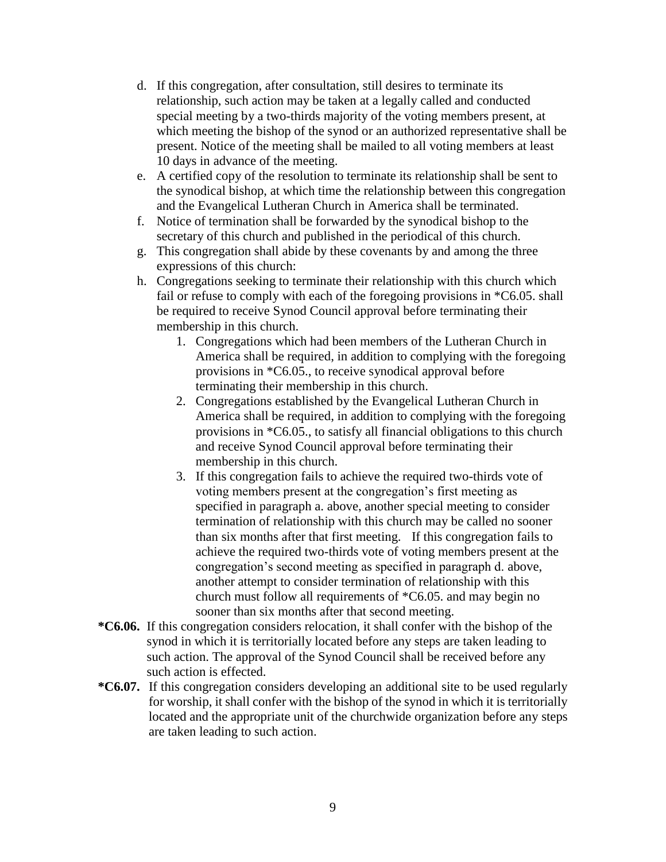- d. If this congregation, after consultation, still desires to terminate its relationship, such action may be taken at a legally called and conducted special meeting by a two-thirds majority of the voting members present, at which meeting the bishop of the synod or an authorized representative shall be present. Notice of the meeting shall be mailed to all voting members at least 10 days in advance of the meeting.
- e. A certified copy of the resolution to terminate its relationship shall be sent to the synodical bishop, at which time the relationship between this congregation and the Evangelical Lutheran Church in America shall be terminated.
- f. Notice of termination shall be forwarded by the synodical bishop to the secretary of this church and published in the periodical of this church.
- g. This congregation shall abide by these covenants by and among the three expressions of this church:
- h. Congregations seeking to terminate their relationship with this church which fail or refuse to comply with each of the foregoing provisions in \*C6.05. shall be required to receive Synod Council approval before terminating their membership in this church.
	- 1. Congregations which had been members of the Lutheran Church in America shall be required, in addition to complying with the foregoing provisions in \*C6.05., to receive synodical approval before terminating their membership in this church.
	- 2. Congregations established by the Evangelical Lutheran Church in America shall be required, in addition to complying with the foregoing provisions in \*C6.05., to satisfy all financial obligations to this church and receive Synod Council approval before terminating their membership in this church.
	- 3. If this congregation fails to achieve the required two-thirds vote of voting members present at the congregation's first meeting as specified in paragraph a. above, another special meeting to consider termination of relationship with this church may be called no sooner than six months after that first meeting. If this congregation fails to achieve the required two-thirds vote of voting members present at the congregation's second meeting as specified in paragraph d. above, another attempt to consider termination of relationship with this church must follow all requirements of \*C6.05. and may begin no sooner than six months after that second meeting.
- **\*C6.06.** If this congregation considers relocation, it shall confer with the bishop of the synod in which it is territorially located before any steps are taken leading to such action. The approval of the Synod Council shall be received before any such action is effected.
- **\*C6.07.** If this congregation considers developing an additional site to be used regularly for worship, it shall confer with the bishop of the synod in which it is territorially located and the appropriate unit of the churchwide organization before any steps are taken leading to such action.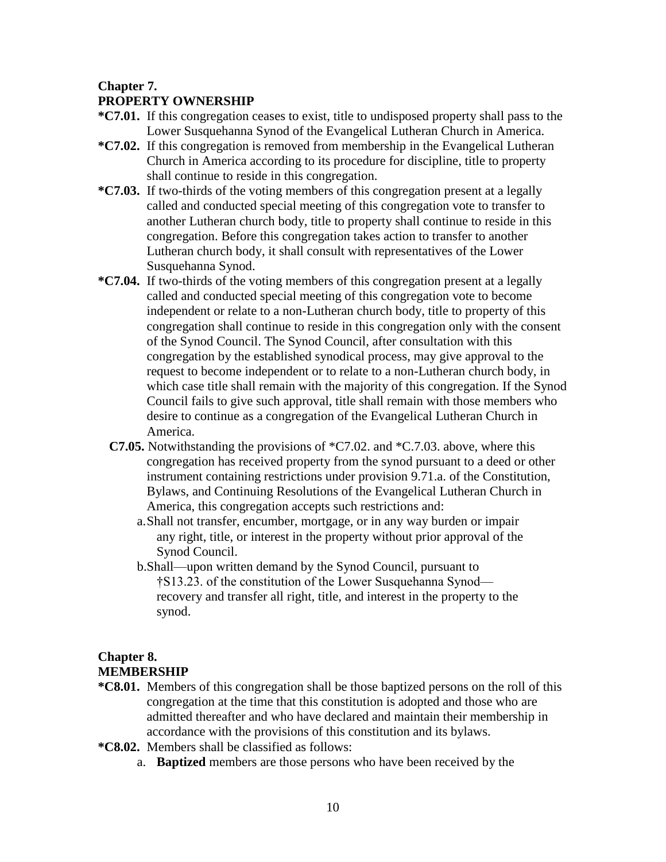### **Chapter 7.**

### **PROPERTY OWNERSHIP**

- **\*C7.01.** If this congregation ceases to exist, title to undisposed property shall pass to the Lower Susquehanna Synod of the Evangelical Lutheran Church in America.
- **\*C7.02.** If this congregation is removed from membership in the Evangelical Lutheran Church in America according to its procedure for discipline, title to property shall continue to reside in this congregation.
- **\*C7.03.** If two-thirds of the voting members of this congregation present at a legally called and conducted special meeting of this congregation vote to transfer to another Lutheran church body, title to property shall continue to reside in this congregation. Before this congregation takes action to transfer to another Lutheran church body, it shall consult with representatives of the Lower Susquehanna Synod.
- **\*C7.04.** If two-thirds of the voting members of this congregation present at a legally called and conducted special meeting of this congregation vote to become independent or relate to a non-Lutheran church body, title to property of this congregation shall continue to reside in this congregation only with the consent of the Synod Council. The Synod Council, after consultation with this congregation by the established synodical process, may give approval to the request to become independent or to relate to a non-Lutheran church body, in which case title shall remain with the majority of this congregation. If the Synod Council fails to give such approval, title shall remain with those members who desire to continue as a congregation of the Evangelical Lutheran Church in America.
	- **C7.05.** Notwithstanding the provisions of \*C7.02. and \*C.7.03. above, where this congregation has received property from the synod pursuant to a deed or other instrument containing restrictions under provision 9.71.a. of the Constitution, Bylaws, and Continuing Resolutions of the Evangelical Lutheran Church in America, this congregation accepts such restrictions and:
		- a.Shall not transfer, encumber, mortgage, or in any way burden or impair any right, title, or interest in the property without prior approval of the Synod Council.
		- b.Shall—upon written demand by the Synod Council, pursuant to †S13.23. of the constitution of the Lower Susquehanna Synod recovery and transfer all right, title, and interest in the property to the synod.

## **Chapter 8. MEMBERSHIP**

- **\*C8.01.** Members of this congregation shall be those baptized persons on the roll of this congregation at the time that this constitution is adopted and those who are admitted thereafter and who have declared and maintain their membership in accordance with the provisions of this constitution and its bylaws.
- **\*C8.02.** Members shall be classified as follows:
	- a. **Baptized** members are those persons who have been received by the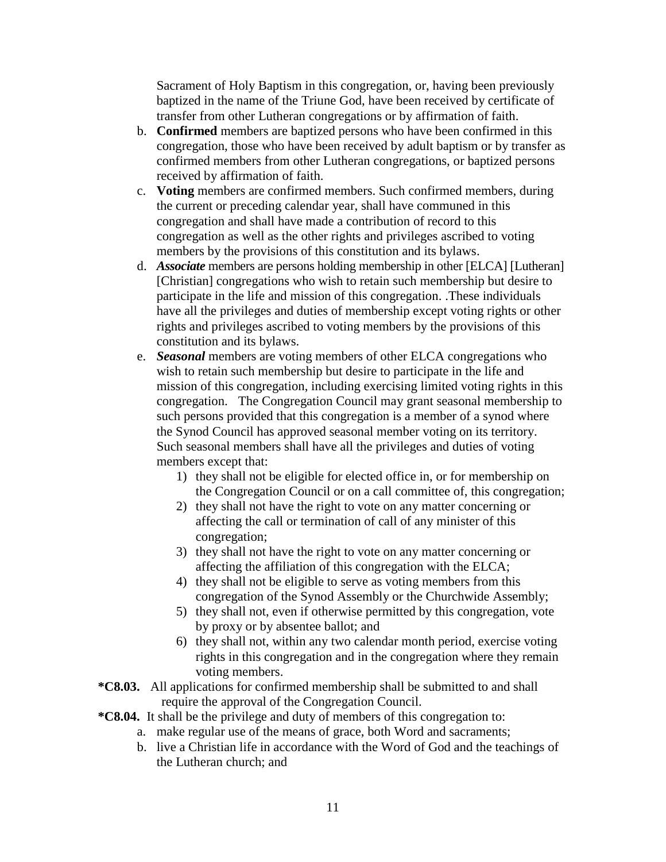Sacrament of Holy Baptism in this congregation, or, having been previously baptized in the name of the Triune God, have been received by certificate of transfer from other Lutheran congregations or by affirmation of faith.

- b. **Confirmed** members are baptized persons who have been confirmed in this congregation, those who have been received by adult baptism or by transfer as confirmed members from other Lutheran congregations, or baptized persons received by affirmation of faith.
- c. **Voting** members are confirmed members. Such confirmed members, during the current or preceding calendar year, shall have communed in this congregation and shall have made a contribution of record to this congregation as well as the other rights and privileges ascribed to voting members by the provisions of this constitution and its bylaws.
- d. *Associate* members are persons holding membership in other [ELCA] [Lutheran] [Christian] congregations who wish to retain such membership but desire to participate in the life and mission of this congregation. .These individuals have all the privileges and duties of membership except voting rights or other rights and privileges ascribed to voting members by the provisions of this constitution and its bylaws.
- e. *Seasonal* members are voting members of other ELCA congregations who wish to retain such membership but desire to participate in the life and mission of this congregation, including exercising limited voting rights in this congregation. The Congregation Council may grant seasonal membership to such persons provided that this congregation is a member of a synod where the Synod Council has approved seasonal member voting on its territory. Such seasonal members shall have all the privileges and duties of voting members except that:
	- 1) they shall not be eligible for elected office in, or for membership on the Congregation Council or on a call committee of, this congregation;
	- 2) they shall not have the right to vote on any matter concerning or affecting the call or termination of call of any minister of this congregation;
	- 3) they shall not have the right to vote on any matter concerning or affecting the affiliation of this congregation with the ELCA;
	- 4) they shall not be eligible to serve as voting members from this congregation of the Synod Assembly or the Churchwide Assembly;
	- 5) they shall not, even if otherwise permitted by this congregation, vote by proxy or by absentee ballot; and
	- 6) they shall not, within any two calendar month period, exercise voting rights in this congregation and in the congregation where they remain voting members.
- **\*C8.03.** All applications for confirmed membership shall be submitted to and shall require the approval of the Congregation Council.
- **\*C8.04.** It shall be the privilege and duty of members of this congregation to:
	- a. make regular use of the means of grace, both Word and sacraments;
	- b. live a Christian life in accordance with the Word of God and the teachings of the Lutheran church; and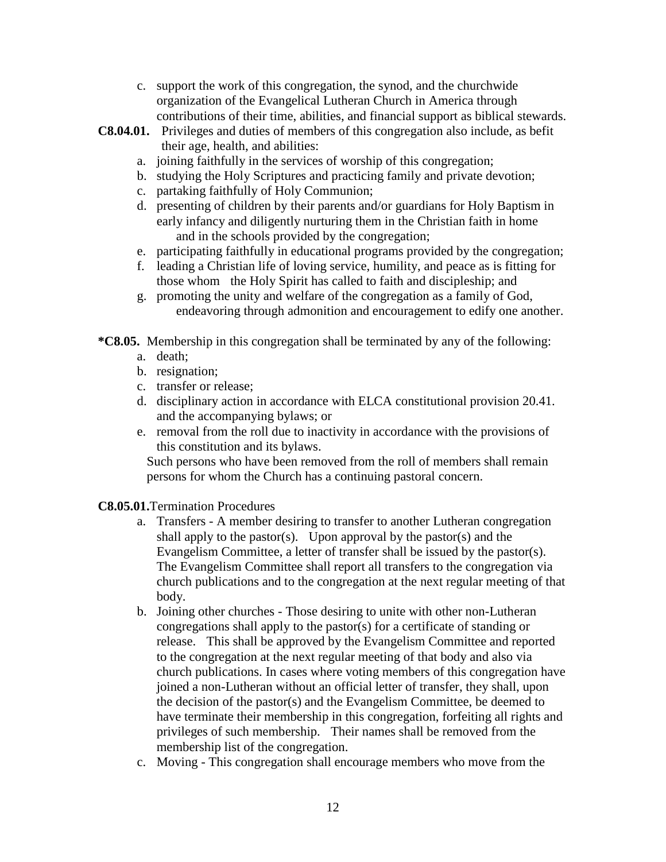- c. support the work of this congregation, the synod, and the churchwide organization of the Evangelical Lutheran Church in America through contributions of their time, abilities, and financial support as biblical stewards.
- **C8.04.01.** Privileges and duties of members of this congregation also include, as befit their age, health, and abilities:
	- a. joining faithfully in the services of worship of this congregation;
	- b. studying the Holy Scriptures and practicing family and private devotion;
	- c. partaking faithfully of Holy Communion;
	- d. presenting of children by their parents and/or guardians for Holy Baptism in early infancy and diligently nurturing them in the Christian faith in home and in the schools provided by the congregation;
	- e. participating faithfully in educational programs provided by the congregation;
	- f. leading a Christian life of loving service, humility, and peace as is fitting for those whom the Holy Spirit has called to faith and discipleship; and
	- g. promoting the unity and welfare of the congregation as a family of God, endeavoring through admonition and encouragement to edify one another.

**\*C8.05.** Membership in this congregation shall be terminated by any of the following:

- a. death;
- b. resignation;
- c. transfer or release;
- d. disciplinary action in accordance with ELCA constitutional provision 20.41. and the accompanying bylaws; or
- e. removal from the roll due to inactivity in accordance with the provisions of this constitution and its bylaws.

Such persons who have been removed from the roll of members shall remain persons for whom the Church has a continuing pastoral concern.

**C8.05.01.**Termination Procedures

- a. Transfers A member desiring to transfer to another Lutheran congregation shall apply to the pastor(s). Upon approval by the pastor(s) and the Evangelism Committee, a letter of transfer shall be issued by the pastor(s). The Evangelism Committee shall report all transfers to the congregation via church publications and to the congregation at the next regular meeting of that body.
- b. Joining other churches Those desiring to unite with other non-Lutheran congregations shall apply to the pastor(s) for a certificate of standing or release. This shall be approved by the Evangelism Committee and reported to the congregation at the next regular meeting of that body and also via church publications. In cases where voting members of this congregation have joined a non-Lutheran without an official letter of transfer, they shall, upon the decision of the pastor(s) and the Evangelism Committee, be deemed to have terminate their membership in this congregation, forfeiting all rights and privileges of such membership. Their names shall be removed from the membership list of the congregation.
- c. Moving This congregation shall encourage members who move from the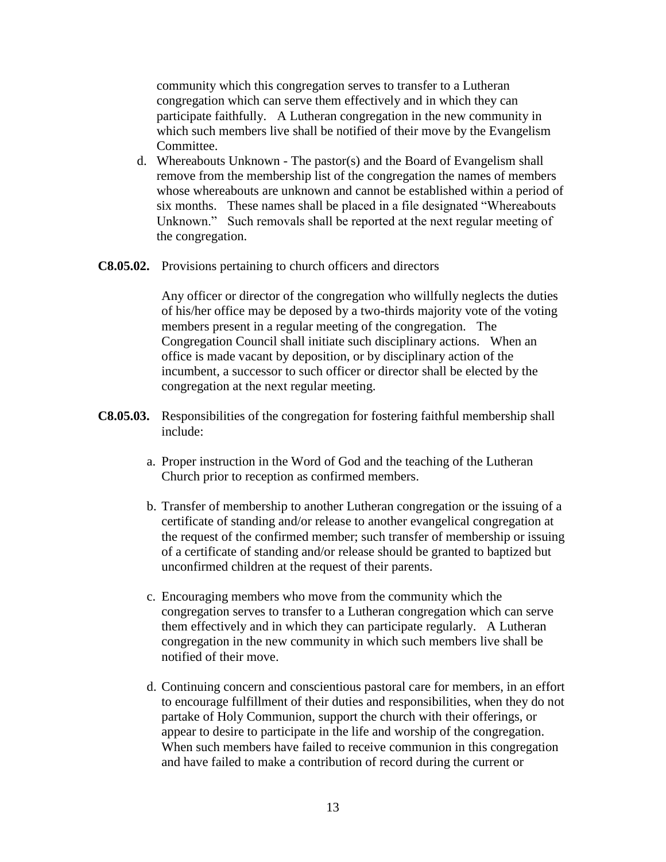community which this congregation serves to transfer to a Lutheran congregation which can serve them effectively and in which they can participate faithfully. A Lutheran congregation in the new community in which such members live shall be notified of their move by the Evangelism Committee.

- d. Whereabouts Unknown The pastor(s) and the Board of Evangelism shall remove from the membership list of the congregation the names of members whose whereabouts are unknown and cannot be established within a period of six months. These names shall be placed in a file designated "Whereabouts Unknown." Such removals shall be reported at the next regular meeting of the congregation.
- **C8.05.02.** Provisions pertaining to church officers and directors

Any officer or director of the congregation who willfully neglects the duties of his/her office may be deposed by a two-thirds majority vote of the voting members present in a regular meeting of the congregation. The Congregation Council shall initiate such disciplinary actions. When an office is made vacant by deposition, or by disciplinary action of the incumbent, a successor to such officer or director shall be elected by the congregation at the next regular meeting.

- **C8.05.03.** Responsibilities of the congregation for fostering faithful membership shall include:
	- a. Proper instruction in the Word of God and the teaching of the Lutheran Church prior to reception as confirmed members.
	- b. Transfer of membership to another Lutheran congregation or the issuing of a certificate of standing and/or release to another evangelical congregation at the request of the confirmed member; such transfer of membership or issuing of a certificate of standing and/or release should be granted to baptized but unconfirmed children at the request of their parents.
	- c. Encouraging members who move from the community which the congregation serves to transfer to a Lutheran congregation which can serve them effectively and in which they can participate regularly. A Lutheran congregation in the new community in which such members live shall be notified of their move.
	- d. Continuing concern and conscientious pastoral care for members, in an effort to encourage fulfillment of their duties and responsibilities, when they do not partake of Holy Communion, support the church with their offerings, or appear to desire to participate in the life and worship of the congregation. When such members have failed to receive communion in this congregation and have failed to make a contribution of record during the current or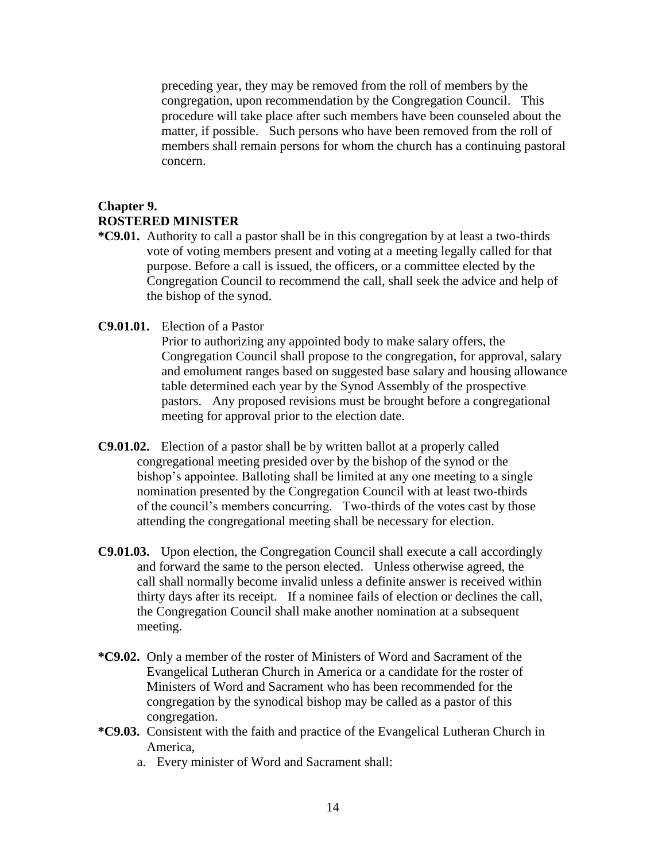preceding year, they may be removed from the roll of members by the congregation, upon recommendation by the Congregation Council. This procedure will take place after such members have been counseled about the matter, if possible. Such persons who have been removed from the roll of members shall remain persons for whom the church has a continuing pastoral concern.

## **Chapter 9. ROSTERED MINISTER**

- **\*C9.01.** Authority to call a pastor shall be in this congregation by at least a two-thirds vote of voting members present and voting at a meeting legally called for that purpose. Before a call is issued, the officers, or a committee elected by the Congregation Council to recommend the call, shall seek the advice and help of the bishop of the synod.
- **C9.01.01.** Election of a Pastor

Prior to authorizing any appointed body to make salary offers, the Congregation Council shall propose to the congregation, for approval, salary and emolument ranges based on suggested base salary and housing allowance table determined each year by the Synod Assembly of the prospective pastors. Any proposed revisions must be brought before a congregational meeting for approval prior to the election date.

- **C9.01.02.** Election of a pastor shall be by written ballot at a properly called congregational meeting presided over by the bishop of the synod or the bishop's appointee. Balloting shall be limited at any one meeting to a single nomination presented by the Congregation Council with at least two-thirds of the council's members concurring. Two-thirds of the votes cast by those attending the congregational meeting shall be necessary for election.
- **C9.01.03.** Upon election, the Congregation Council shall execute a call accordingly and forward the same to the person elected. Unless otherwise agreed, the call shall normally become invalid unless a definite answer is received within thirty days after its receipt. If a nominee fails of election or declines the call, the Congregation Council shall make another nomination at a subsequent meeting.
- **\*C9.02.** Only a member of the roster of Ministers of Word and Sacrament of the Evangelical Lutheran Church in America or a candidate for the roster of Ministers of Word and Sacrament who has been recommended for the congregation by the synodical bishop may be called as a pastor of this congregation.
- **\*C9.03.** Consistent with the faith and practice of the Evangelical Lutheran Church in America,
	- a. Every minister of Word and Sacrament shall: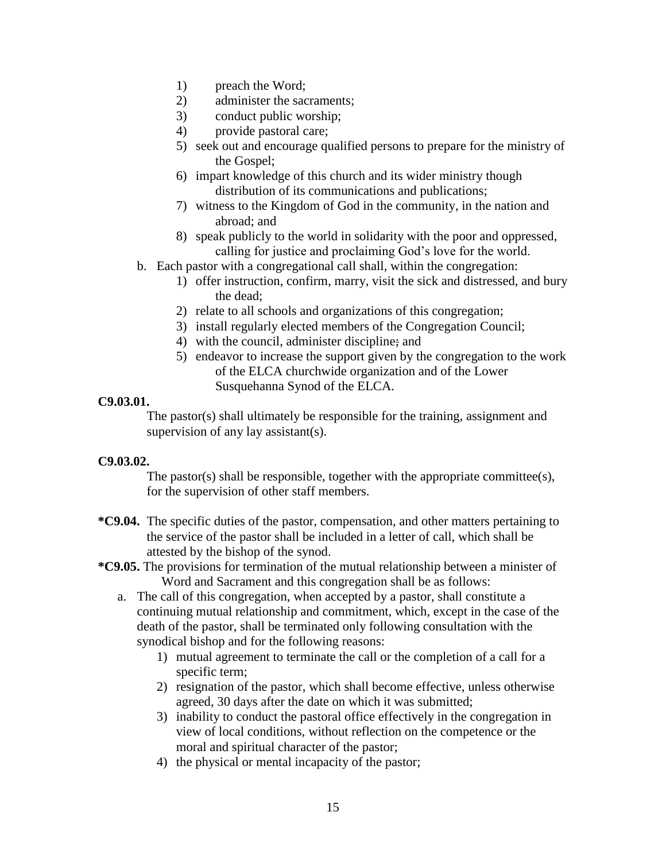- 1) preach the Word;
- 2) administer the sacraments;
- 3) conduct public worship;
- 4) provide pastoral care;
- 5) seek out and encourage qualified persons to prepare for the ministry of the Gospel;
- 6) impart knowledge of this church and its wider ministry though distribution of its communications and publications;
- 7) witness to the Kingdom of God in the community, in the nation and abroad; and
- 8) speak publicly to the world in solidarity with the poor and oppressed, calling for justice and proclaiming God's love for the world.
- b. Each pastor with a congregational call shall, within the congregation:
	- 1) offer instruction, confirm, marry, visit the sick and distressed, and bury the dead;
	- 2) relate to all schools and organizations of this congregation;
	- 3) install regularly elected members of the Congregation Council;
	- 4) with the council, administer discipline; and
	- 5) endeavor to increase the support given by the congregation to the work of the ELCA churchwide organization and of the Lower Susquehanna Synod of the ELCA.

### **C9.03.01.**

The pastor(s) shall ultimately be responsible for the training, assignment and supervision of any lay assistant(s).

## **C9.03.02.**

The pastor(s) shall be responsible, together with the appropriate committee(s), for the supervision of other staff members.

- **\*C9.04.** The specific duties of the pastor, compensation, and other matters pertaining to the service of the pastor shall be included in a letter of call, which shall be attested by the bishop of the synod.
- **\*C9.05.** The provisions for termination of the mutual relationship between a minister of Word and Sacrament and this congregation shall be as follows:
	- a. The call of this congregation, when accepted by a pastor, shall constitute a continuing mutual relationship and commitment, which, except in the case of the death of the pastor, shall be terminated only following consultation with the synodical bishop and for the following reasons:
		- 1) mutual agreement to terminate the call or the completion of a call for a specific term;
		- 2) resignation of the pastor, which shall become effective, unless otherwise agreed, 30 days after the date on which it was submitted;
		- 3) inability to conduct the pastoral office effectively in the congregation in view of local conditions, without reflection on the competence or the moral and spiritual character of the pastor;
		- 4) the physical or mental incapacity of the pastor;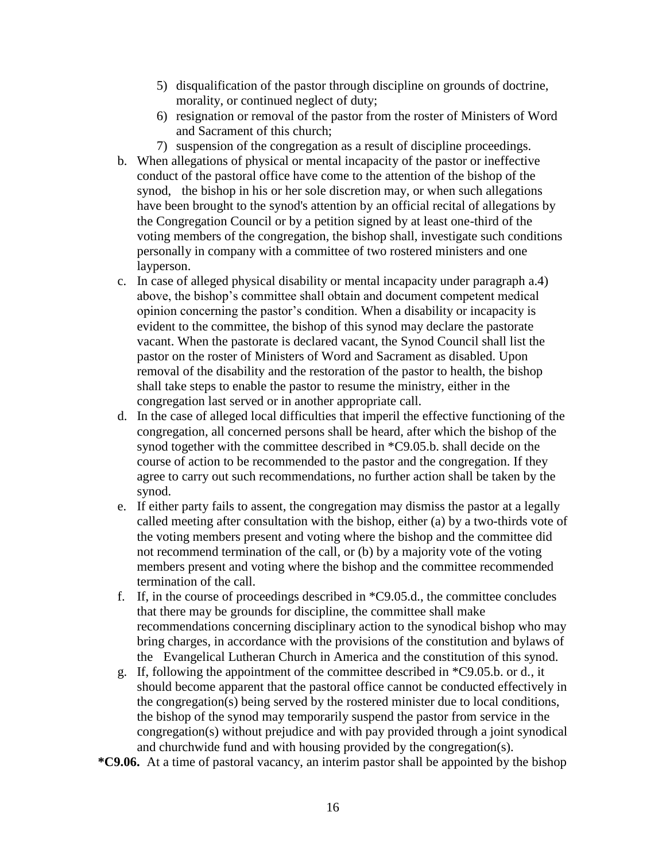- 5) disqualification of the pastor through discipline on grounds of doctrine, morality, or continued neglect of duty;
- 6) resignation or removal of the pastor from the roster of Ministers of Word and Sacrament of this church;
- 7) suspension of the congregation as a result of discipline proceedings.
- b. When allegations of physical or mental incapacity of the pastor or ineffective conduct of the pastoral office have come to the attention of the bishop of the synod, the bishop in his or her sole discretion may, or when such allegations have been brought to the synod's attention by an official recital of allegations by the Congregation Council or by a petition signed by at least one-third of the voting members of the congregation, the bishop shall, investigate such conditions personally in company with a committee of two rostered ministers and one layperson.
- c. In case of alleged physical disability or mental incapacity under paragraph a.4) above, the bishop's committee shall obtain and document competent medical opinion concerning the pastor's condition. When a disability or incapacity is evident to the committee, the bishop of this synod may declare the pastorate vacant. When the pastorate is declared vacant, the Synod Council shall list the pastor on the roster of Ministers of Word and Sacrament as disabled. Upon removal of the disability and the restoration of the pastor to health, the bishop shall take steps to enable the pastor to resume the ministry, either in the congregation last served or in another appropriate call.
- d. In the case of alleged local difficulties that imperil the effective functioning of the congregation, all concerned persons shall be heard, after which the bishop of the synod together with the committee described in \*C9.05.b. shall decide on the course of action to be recommended to the pastor and the congregation. If they agree to carry out such recommendations, no further action shall be taken by the synod.
- e. If either party fails to assent, the congregation may dismiss the pastor at a legally called meeting after consultation with the bishop, either (a) by a two-thirds vote of the voting members present and voting where the bishop and the committee did not recommend termination of the call, or (b) by a majority vote of the voting members present and voting where the bishop and the committee recommended termination of the call.
- f. If, in the course of proceedings described in \*C9.05.d., the committee concludes that there may be grounds for discipline, the committee shall make recommendations concerning disciplinary action to the synodical bishop who may bring charges, in accordance with the provisions of the constitution and bylaws of the Evangelical Lutheran Church in America and the constitution of this synod.
- g. If, following the appointment of the committee described in \*C9.05.b. or d., it should become apparent that the pastoral office cannot be conducted effectively in the congregation(s) being served by the rostered minister due to local conditions, the bishop of the synod may temporarily suspend the pastor from service in the congregation(s) without prejudice and with pay provided through a joint synodical and churchwide fund and with housing provided by the congregation(s).
- **\*C9.06.** At a time of pastoral vacancy, an interim pastor shall be appointed by the bishop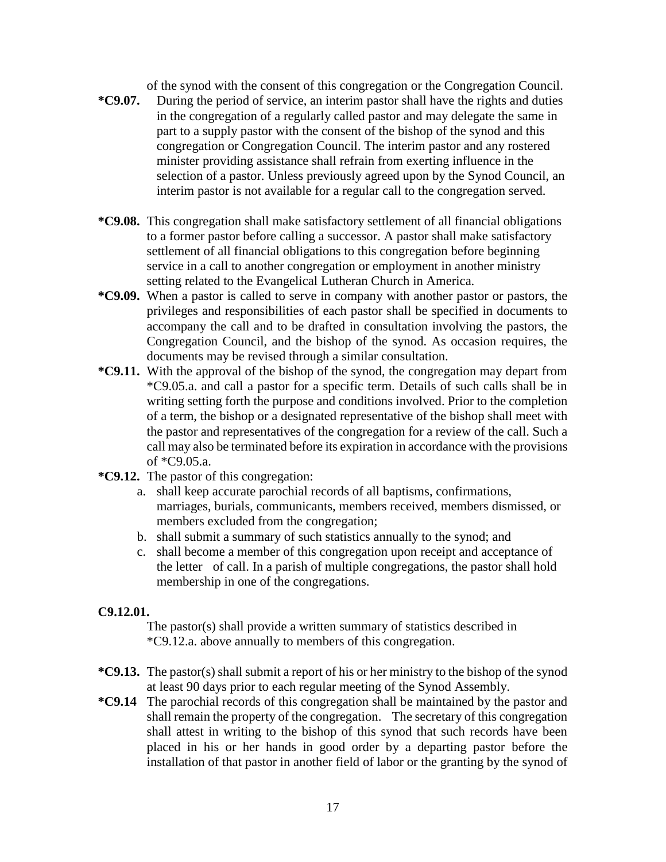of the synod with the consent of this congregation or the Congregation Council.

- **\*C9.07.** During the period of service, an interim pastor shall have the rights and duties in the congregation of a regularly called pastor and may delegate the same in part to a supply pastor with the consent of the bishop of the synod and this congregation or Congregation Council. The interim pastor and any rostered minister providing assistance shall refrain from exerting influence in the selection of a pastor. Unless previously agreed upon by the Synod Council, an interim pastor is not available for a regular call to the congregation served.
- **\*C9.08.** This congregation shall make satisfactory settlement of all financial obligations to a former pastor before calling a successor. A pastor shall make satisfactory settlement of all financial obligations to this congregation before beginning service in a call to another congregation or employment in another ministry setting related to the Evangelical Lutheran Church in America.
- **\*C9.09.** When a pastor is called to serve in company with another pastor or pastors, the privileges and responsibilities of each pastor shall be specified in documents to accompany the call and to be drafted in consultation involving the pastors, the Congregation Council, and the bishop of the synod. As occasion requires, the documents may be revised through a similar consultation.
- **\*C9.11.** With the approval of the bishop of the synod, the congregation may depart from \*C9.05.a. and call a pastor for a specific term. Details of such calls shall be in writing setting forth the purpose and conditions involved. Prior to the completion of a term, the bishop or a designated representative of the bishop shall meet with the pastor and representatives of the congregation for a review of the call. Such a call may also be terminated before its expiration in accordance with the provisions of \*C9.05.a.
- **\*C9.12.** The pastor of this congregation:
	- a. shall keep accurate parochial records of all baptisms, confirmations, marriages, burials, communicants, members received, members dismissed, or members excluded from the congregation;
	- b. shall submit a summary of such statistics annually to the synod; and
	- c. shall become a member of this congregation upon receipt and acceptance of the letter of call. In a parish of multiple congregations, the pastor shall hold membership in one of the congregations.

## **C9.12.01.**

The pastor(s) shall provide a written summary of statistics described in \*C9.12.a. above annually to members of this congregation.

- **\*C9.13.** The pastor(s) shall submit a report of his or her ministry to the bishop of the synod at least 90 days prior to each regular meeting of the Synod Assembly.
- **\*C9.14** The parochial records of this congregation shall be maintained by the pastor and shall remain the property of the congregation. The secretary of this congregation shall attest in writing to the bishop of this synod that such records have been placed in his or her hands in good order by a departing pastor before the installation of that pastor in another field of labor or the granting by the synod of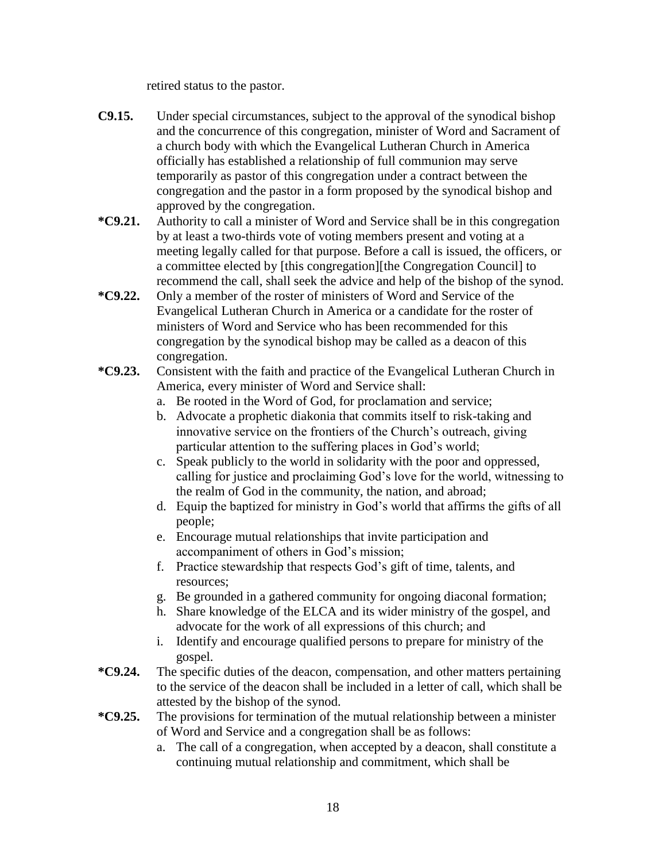retired status to the pastor.

- **C9.15.** Under special circumstances, subject to the approval of the synodical bishop and the concurrence of this congregation, minister of Word and Sacrament of a church body with which the Evangelical Lutheran Church in America officially has established a relationship of full communion may serve temporarily as pastor of this congregation under a contract between the congregation and the pastor in a form proposed by the synodical bishop and approved by the congregation.
- **\*C9.21.** Authority to call a minister of Word and Service shall be in this congregation by at least a two-thirds vote of voting members present and voting at a meeting legally called for that purpose. Before a call is issued, the officers, or a committee elected by [this congregation][the Congregation Council] to recommend the call, shall seek the advice and help of the bishop of the synod.
- **\*C9.22.** Only a member of the roster of ministers of Word and Service of the Evangelical Lutheran Church in America or a candidate for the roster of ministers of Word and Service who has been recommended for this congregation by the synodical bishop may be called as a deacon of this congregation.
- **\*C9.23.** Consistent with the faith and practice of the Evangelical Lutheran Church in America, every minister of Word and Service shall:
	- a. Be rooted in the Word of God, for proclamation and service;
	- b. Advocate a prophetic diakonia that commits itself to risk-taking and innovative service on the frontiers of the Church's outreach, giving particular attention to the suffering places in God's world;
	- c. Speak publicly to the world in solidarity with the poor and oppressed, calling for justice and proclaiming God's love for the world, witnessing to the realm of God in the community, the nation, and abroad;
	- d. Equip the baptized for ministry in God's world that affirms the gifts of all people;
	- e. Encourage mutual relationships that invite participation and accompaniment of others in God's mission;
	- f. Practice stewardship that respects God's gift of time, talents, and resources;
	- g. Be grounded in a gathered community for ongoing diaconal formation;
	- h. Share knowledge of the ELCA and its wider ministry of the gospel, and advocate for the work of all expressions of this church; and
	- i. Identify and encourage qualified persons to prepare for ministry of the gospel.
- **\*C9.24.** The specific duties of the deacon, compensation, and other matters pertaining to the service of the deacon shall be included in a letter of call, which shall be attested by the bishop of the synod.
- **\*C9.25.** The provisions for termination of the mutual relationship between a minister of Word and Service and a congregation shall be as follows:
	- a. The call of a congregation, when accepted by a deacon, shall constitute a continuing mutual relationship and commitment, which shall be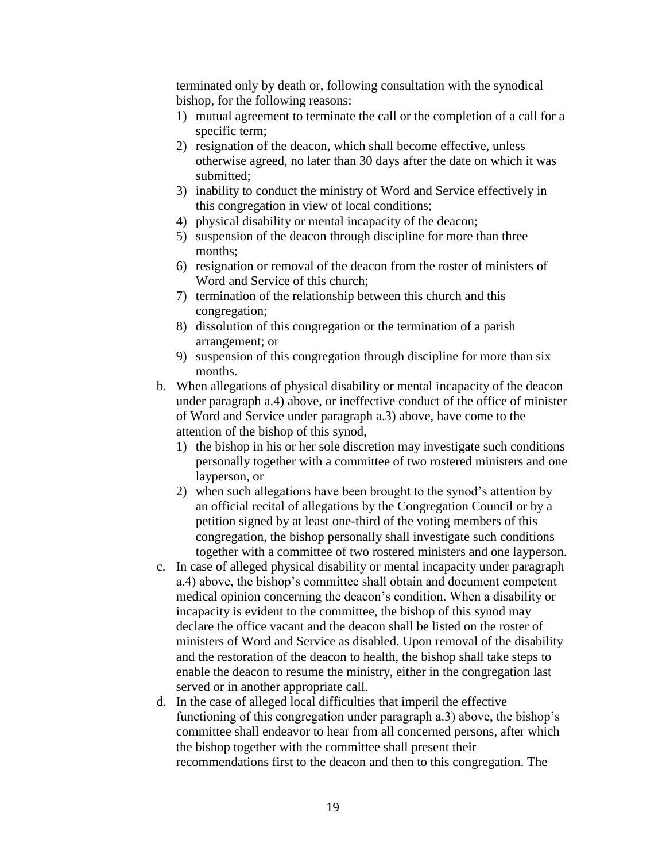terminated only by death or, following consultation with the synodical bishop, for the following reasons:

- 1) mutual agreement to terminate the call or the completion of a call for a specific term;
- 2) resignation of the deacon, which shall become effective, unless otherwise agreed, no later than 30 days after the date on which it was submitted;
- 3) inability to conduct the ministry of Word and Service effectively in this congregation in view of local conditions;
- 4) physical disability or mental incapacity of the deacon;
- 5) suspension of the deacon through discipline for more than three months;
- 6) resignation or removal of the deacon from the roster of ministers of Word and Service of this church;
- 7) termination of the relationship between this church and this congregation;
- 8) dissolution of this congregation or the termination of a parish arrangement; or
- 9) suspension of this congregation through discipline for more than six months.
- b. When allegations of physical disability or mental incapacity of the deacon under paragraph a.4) above, or ineffective conduct of the office of minister of Word and Service under paragraph a.3) above, have come to the attention of the bishop of this synod,
	- 1) the bishop in his or her sole discretion may investigate such conditions personally together with a committee of two rostered ministers and one layperson, or
	- 2) when such allegations have been brought to the synod's attention by an official recital of allegations by the Congregation Council or by a petition signed by at least one-third of the voting members of this congregation, the bishop personally shall investigate such conditions together with a committee of two rostered ministers and one layperson.
- c. In case of alleged physical disability or mental incapacity under paragraph a.4) above, the bishop's committee shall obtain and document competent medical opinion concerning the deacon's condition. When a disability or incapacity is evident to the committee, the bishop of this synod may declare the office vacant and the deacon shall be listed on the roster of ministers of Word and Service as disabled. Upon removal of the disability and the restoration of the deacon to health, the bishop shall take steps to enable the deacon to resume the ministry, either in the congregation last served or in another appropriate call.
- d. In the case of alleged local difficulties that imperil the effective functioning of this congregation under paragraph a.3) above, the bishop's committee shall endeavor to hear from all concerned persons, after which the bishop together with the committee shall present their recommendations first to the deacon and then to this congregation. The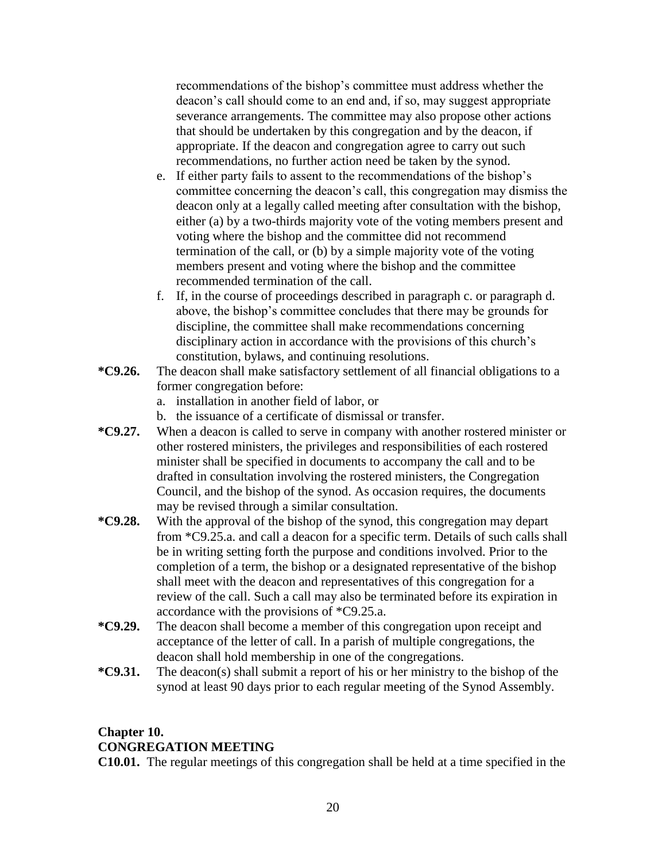recommendations of the bishop's committee must address whether the deacon's call should come to an end and, if so, may suggest appropriate severance arrangements. The committee may also propose other actions that should be undertaken by this congregation and by the deacon, if appropriate. If the deacon and congregation agree to carry out such recommendations, no further action need be taken by the synod.

- e. If either party fails to assent to the recommendations of the bishop's committee concerning the deacon's call, this congregation may dismiss the deacon only at a legally called meeting after consultation with the bishop, either (a) by a two-thirds majority vote of the voting members present and voting where the bishop and the committee did not recommend termination of the call, or (b) by a simple majority vote of the voting members present and voting where the bishop and the committee recommended termination of the call.
- f. If, in the course of proceedings described in paragraph c. or paragraph d. above, the bishop's committee concludes that there may be grounds for discipline, the committee shall make recommendations concerning disciplinary action in accordance with the provisions of this church's constitution, bylaws, and continuing resolutions.
- **\*C9.26.** The deacon shall make satisfactory settlement of all financial obligations to a former congregation before:
	- a. installation in another field of labor, or
	- b. the issuance of a certificate of dismissal or transfer.
- **\*C9.27.** When a deacon is called to serve in company with another rostered minister or other rostered ministers, the privileges and responsibilities of each rostered minister shall be specified in documents to accompany the call and to be drafted in consultation involving the rostered ministers, the Congregation Council, and the bishop of the synod. As occasion requires, the documents may be revised through a similar consultation.
- **\*C9.28.** With the approval of the bishop of the synod, this congregation may depart from \*C9.25.a. and call a deacon for a specific term. Details of such calls shall be in writing setting forth the purpose and conditions involved. Prior to the completion of a term, the bishop or a designated representative of the bishop shall meet with the deacon and representatives of this congregation for a review of the call. Such a call may also be terminated before its expiration in accordance with the provisions of \*C9.25.a.
- **\*C9.29.** The deacon shall become a member of this congregation upon receipt and acceptance of the letter of call. In a parish of multiple congregations, the deacon shall hold membership in one of the congregations.
- **\*C9.31.** The deacon(s) shall submit a report of his or her ministry to the bishop of the synod at least 90 days prior to each regular meeting of the Synod Assembly.

# **Chapter 10. CONGREGATION MEETING**

**C10.01.** The regular meetings of this congregation shall be held at a time specified in the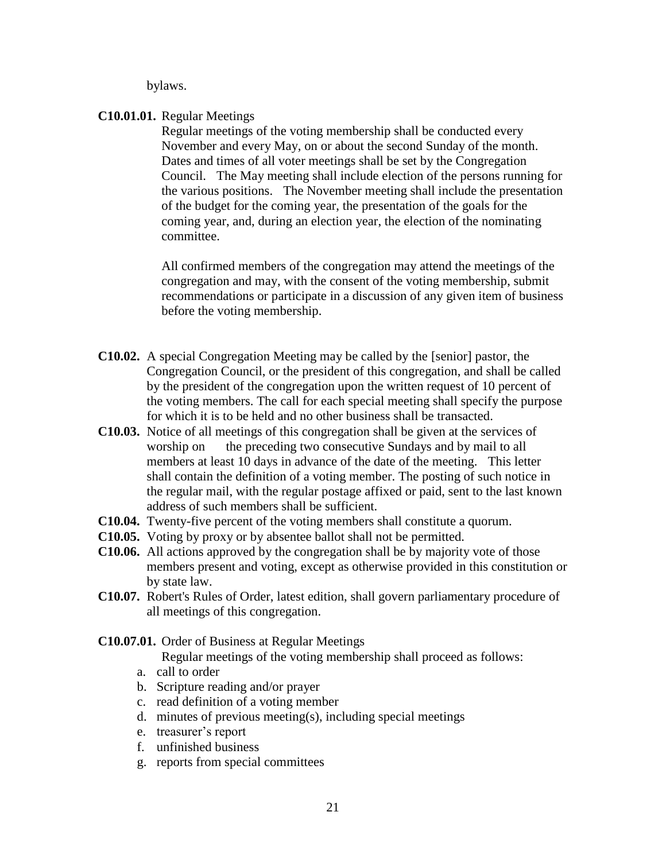bylaws.

#### **C10.01.01.** Regular Meetings

Regular meetings of the voting membership shall be conducted every November and every May, on or about the second Sunday of the month. Dates and times of all voter meetings shall be set by the Congregation Council. The May meeting shall include election of the persons running for the various positions. The November meeting shall include the presentation of the budget for the coming year, the presentation of the goals for the coming year, and, during an election year, the election of the nominating committee.

All confirmed members of the congregation may attend the meetings of the congregation and may, with the consent of the voting membership, submit recommendations or participate in a discussion of any given item of business before the voting membership.

- **C10.02.** A special Congregation Meeting may be called by the [senior] pastor, the Congregation Council, or the president of this congregation, and shall be called by the president of the congregation upon the written request of 10 percent of the voting members. The call for each special meeting shall specify the purpose for which it is to be held and no other business shall be transacted.
- **C10.03.** Notice of all meetings of this congregation shall be given at the services of worship on the preceding two consecutive Sundays and by mail to all members at least 10 days in advance of the date of the meeting. This letter shall contain the definition of a voting member. The posting of such notice in the regular mail, with the regular postage affixed or paid, sent to the last known address of such members shall be sufficient.
- **C10.04.** Twenty-five percent of the voting members shall constitute a quorum.
- **C10.05.** Voting by proxy or by absentee ballot shall not be permitted.
- **C10.06.** All actions approved by the congregation shall be by majority vote of those members present and voting, except as otherwise provided in this constitution or by state law.
- **C10.07.** Robert's Rules of Order, latest edition, shall govern parliamentary procedure of all meetings of this congregation.
- **C10.07.01.** Order of Business at Regular Meetings

Regular meetings of the voting membership shall proceed as follows:

- a. call to order
- b. Scripture reading and/or prayer
- c. read definition of a voting member
- d. minutes of previous meeting(s), including special meetings
- e. treasurer's report
- f. unfinished business
- g. reports from special committees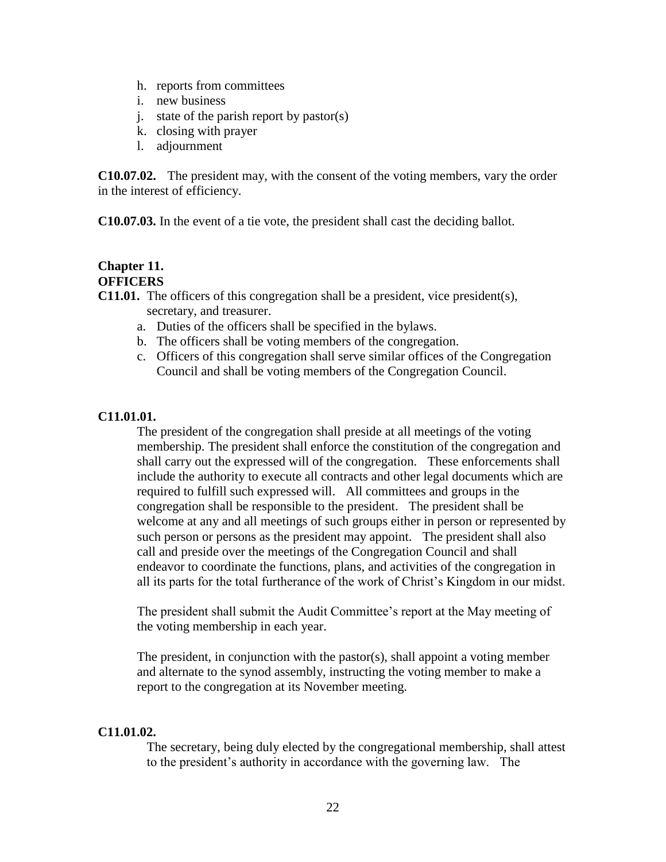- h. reports from committees
- i. new business
- j. state of the parish report by pastor(s)
- k. closing with prayer
- l. adjournment

**C10.07.02.** The president may, with the consent of the voting members, vary the order in the interest of efficiency.

**C10.07.03.** In the event of a tie vote, the president shall cast the deciding ballot.

#### **Chapter 11. OFFICERS**

# **C11.01.** The officers of this congregation shall be a president, vice president(s), secretary, and treasurer.

- a. Duties of the officers shall be specified in the bylaws.
- b. The officers shall be voting members of the congregation.
- c. Officers of this congregation shall serve similar offices of the Congregation Council and shall be voting members of the Congregation Council.

#### **C11.01.01.**

The president of the congregation shall preside at all meetings of the voting membership. The president shall enforce the constitution of the congregation and shall carry out the expressed will of the congregation. These enforcements shall include the authority to execute all contracts and other legal documents which are required to fulfill such expressed will. All committees and groups in the congregation shall be responsible to the president. The president shall be welcome at any and all meetings of such groups either in person or represented by such person or persons as the president may appoint. The president shall also call and preside over the meetings of the Congregation Council and shall endeavor to coordinate the functions, plans, and activities of the congregation in all its parts for the total furtherance of the work of Christ's Kingdom in our midst.

The president shall submit the Audit Committee's report at the May meeting of the voting membership in each year.

The president, in conjunction with the pastor(s), shall appoint a voting member and alternate to the synod assembly, instructing the voting member to make a report to the congregation at its November meeting.

#### **C11.01.02.**

The secretary, being duly elected by the congregational membership, shall attest to the president's authority in accordance with the governing law. The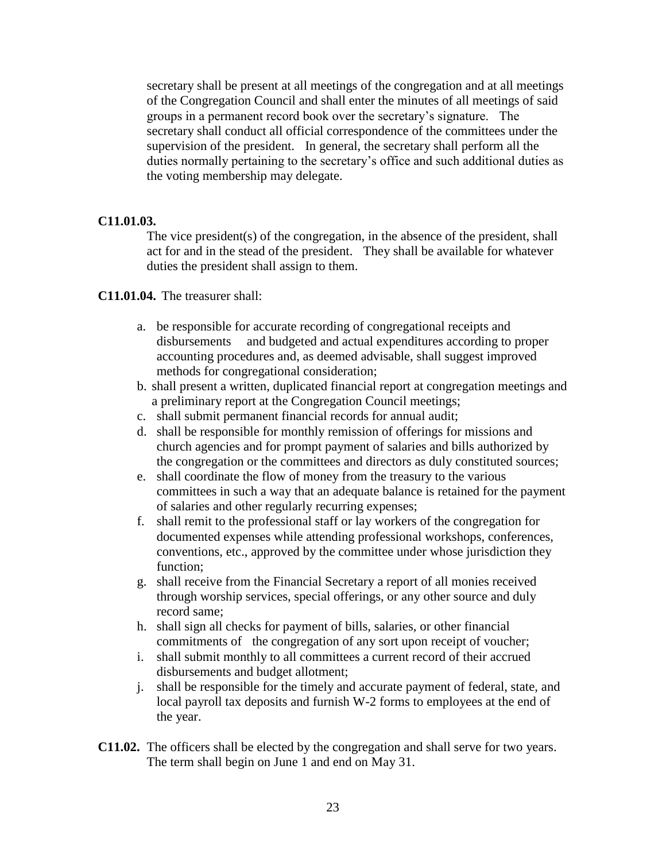secretary shall be present at all meetings of the congregation and at all meetings of the Congregation Council and shall enter the minutes of all meetings of said groups in a permanent record book over the secretary's signature. The secretary shall conduct all official correspondence of the committees under the supervision of the president. In general, the secretary shall perform all the duties normally pertaining to the secretary's office and such additional duties as the voting membership may delegate.

#### **C11.01.03.**

The vice president(s) of the congregation, in the absence of the president, shall act for and in the stead of the president. They shall be available for whatever duties the president shall assign to them.

**C11.01.04.** The treasurer shall:

- a. be responsible for accurate recording of congregational receipts and disbursements and budgeted and actual expenditures according to proper accounting procedures and, as deemed advisable, shall suggest improved methods for congregational consideration;
- b. shall present a written, duplicated financial report at congregation meetings and a preliminary report at the Congregation Council meetings;
- c. shall submit permanent financial records for annual audit;
- d. shall be responsible for monthly remission of offerings for missions and church agencies and for prompt payment of salaries and bills authorized by the congregation or the committees and directors as duly constituted sources;
- e. shall coordinate the flow of money from the treasury to the various committees in such a way that an adequate balance is retained for the payment of salaries and other regularly recurring expenses;
- f. shall remit to the professional staff or lay workers of the congregation for documented expenses while attending professional workshops, conferences, conventions, etc., approved by the committee under whose jurisdiction they function;
- g. shall receive from the Financial Secretary a report of all monies received through worship services, special offerings, or any other source and duly record same;
- h. shall sign all checks for payment of bills, salaries, or other financial commitments of the congregation of any sort upon receipt of voucher;
- i. shall submit monthly to all committees a current record of their accrued disbursements and budget allotment;
- j. shall be responsible for the timely and accurate payment of federal, state, and local payroll tax deposits and furnish W-2 forms to employees at the end of the year.
- **C11.02.** The officers shall be elected by the congregation and shall serve for two years. The term shall begin on June 1 and end on May 31.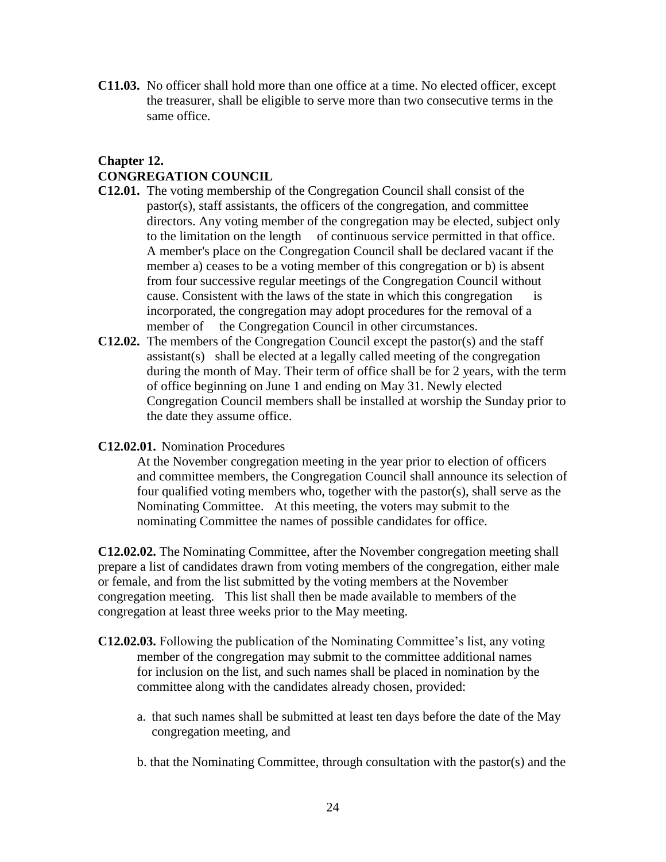**C11.03.** No officer shall hold more than one office at a time. No elected officer, except the treasurer, shall be eligible to serve more than two consecutive terms in the same office.

# **Chapter 12. CONGREGATION COUNCIL**

- **C12.01.** The voting membership of the Congregation Council shall consist of the pastor(s), staff assistants, the officers of the congregation, and committee directors. Any voting member of the congregation may be elected, subject only to the limitation on the length of continuous service permitted in that office. A member's place on the Congregation Council shall be declared vacant if the member a) ceases to be a voting member of this congregation or b) is absent from four successive regular meetings of the Congregation Council without cause. Consistent with the laws of the state in which this congregation is incorporated, the congregation may adopt procedures for the removal of a member of the Congregation Council in other circumstances.
- **C12.02.** The members of the Congregation Council except the pastor(s) and the staff assistant(s) shall be elected at a legally called meeting of the congregation during the month of May. Their term of office shall be for 2 years, with the term of office beginning on June 1 and ending on May 31. Newly elected Congregation Council members shall be installed at worship the Sunday prior to the date they assume office.
- **C12.02.01.** Nomination Procedures

At the November congregation meeting in the year prior to election of officers and committee members, the Congregation Council shall announce its selection of four qualified voting members who, together with the pastor(s), shall serve as the Nominating Committee. At this meeting, the voters may submit to the nominating Committee the names of possible candidates for office.

**C12.02.02.** The Nominating Committee, after the November congregation meeting shall prepare a list of candidates drawn from voting members of the congregation, either male or female, and from the list submitted by the voting members at the November congregation meeting. This list shall then be made available to members of the congregation at least three weeks prior to the May meeting.

- **C12.02.03.** Following the publication of the Nominating Committee's list, any voting member of the congregation may submit to the committee additional names for inclusion on the list, and such names shall be placed in nomination by the committee along with the candidates already chosen, provided:
	- a. that such names shall be submitted at least ten days before the date of the May congregation meeting, and
	- b. that the Nominating Committee, through consultation with the pastor(s) and the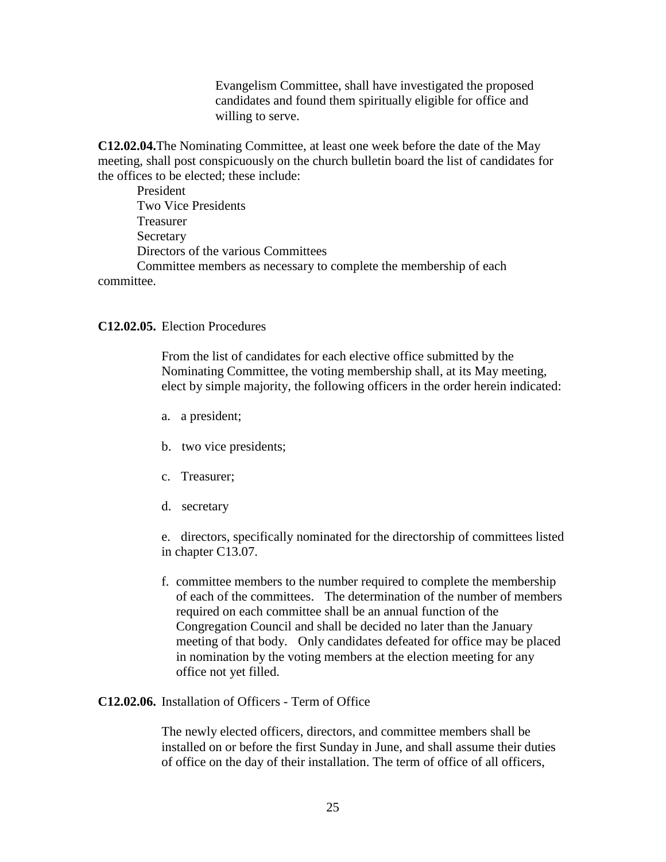Evangelism Committee, shall have investigated the proposed candidates and found them spiritually eligible for office and willing to serve.

**C12.02.04.**The Nominating Committee, at least one week before the date of the May meeting, shall post conspicuously on the church bulletin board the list of candidates for the offices to be elected; these include:

President Two Vice Presidents Treasurer **Secretary** Directors of the various Committees Committee members as necessary to complete the membership of each

committee.

#### **C12.02.05.** Election Procedures

From the list of candidates for each elective office submitted by the Nominating Committee, the voting membership shall, at its May meeting, elect by simple majority, the following officers in the order herein indicated:

- a. a president;
- b. two vice presidents;
- c. Treasurer;
- d. secretary

e. directors, specifically nominated for the directorship of committees listed in chapter C13.07.

f. committee members to the number required to complete the membership of each of the committees. The determination of the number of members required on each committee shall be an annual function of the Congregation Council and shall be decided no later than the January meeting of that body. Only candidates defeated for office may be placed in nomination by the voting members at the election meeting for any office not yet filled.

#### **C12.02.06.** Installation of Officers - Term of Office

The newly elected officers, directors, and committee members shall be installed on or before the first Sunday in June, and shall assume their duties of office on the day of their installation. The term of office of all officers,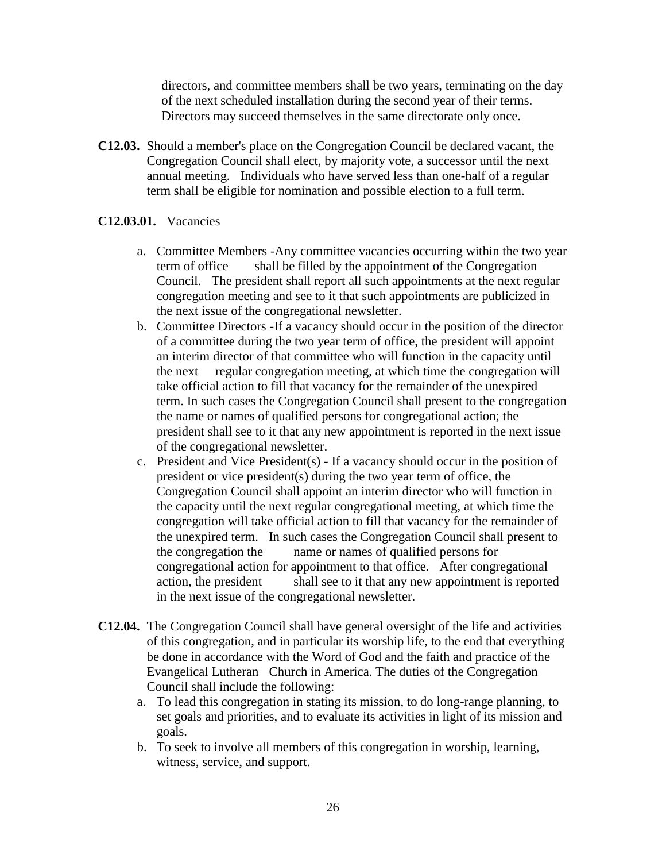directors, and committee members shall be two years, terminating on the day of the next scheduled installation during the second year of their terms. Directors may succeed themselves in the same directorate only once.

**C12.03.** Should a member's place on the Congregation Council be declared vacant, the Congregation Council shall elect, by majority vote, a successor until the next annual meeting. Individuals who have served less than one-half of a regular term shall be eligible for nomination and possible election to a full term.

### **C12.03.01.** Vacancies

- a. Committee Members -Any committee vacancies occurring within the two year term of office shall be filled by the appointment of the Congregation Council. The president shall report all such appointments at the next regular congregation meeting and see to it that such appointments are publicized in the next issue of the congregational newsletter.
- b. Committee Directors -If a vacancy should occur in the position of the director of a committee during the two year term of office, the president will appoint an interim director of that committee who will function in the capacity until the next regular congregation meeting, at which time the congregation will take official action to fill that vacancy for the remainder of the unexpired term. In such cases the Congregation Council shall present to the congregation the name or names of qualified persons for congregational action; the president shall see to it that any new appointment is reported in the next issue of the congregational newsletter.
- c. President and Vice President(s) If a vacancy should occur in the position of president or vice president(s) during the two year term of office, the Congregation Council shall appoint an interim director who will function in the capacity until the next regular congregational meeting, at which time the congregation will take official action to fill that vacancy for the remainder of the unexpired term. In such cases the Congregation Council shall present to the congregation the name or names of qualified persons for congregational action for appointment to that office. After congregational action, the president shall see to it that any new appointment is reported in the next issue of the congregational newsletter.
- **C12.04.** The Congregation Council shall have general oversight of the life and activities of this congregation, and in particular its worship life, to the end that everything be done in accordance with the Word of God and the faith and practice of the Evangelical Lutheran Church in America. The duties of the Congregation Council shall include the following:
	- a. To lead this congregation in stating its mission, to do long-range planning, to set goals and priorities, and to evaluate its activities in light of its mission and goals.
	- b. To seek to involve all members of this congregation in worship, learning, witness, service, and support.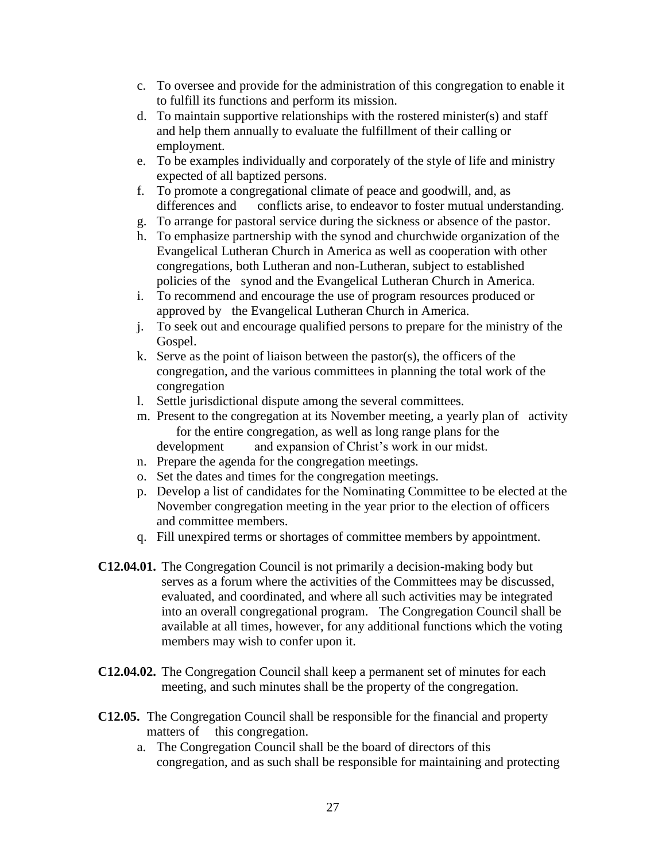- c. To oversee and provide for the administration of this congregation to enable it to fulfill its functions and perform its mission.
- d. To maintain supportive relationships with the rostered minister(s) and staff and help them annually to evaluate the fulfillment of their calling or employment.
- e. To be examples individually and corporately of the style of life and ministry expected of all baptized persons.
- f. To promote a congregational climate of peace and goodwill, and, as differences and conflicts arise, to endeavor to foster mutual understanding.
- g. To arrange for pastoral service during the sickness or absence of the pastor.
- h. To emphasize partnership with the synod and churchwide organization of the Evangelical Lutheran Church in America as well as cooperation with other congregations, both Lutheran and non-Lutheran, subject to established policies of the synod and the Evangelical Lutheran Church in America.
- i. To recommend and encourage the use of program resources produced or approved by the Evangelical Lutheran Church in America.
- j. To seek out and encourage qualified persons to prepare for the ministry of the Gospel.
- k. Serve as the point of liaison between the pastor(s), the officers of the congregation, and the various committees in planning the total work of the congregation
- l. Settle jurisdictional dispute among the several committees.
- m. Present to the congregation at its November meeting, a yearly plan of activity for the entire congregation, as well as long range plans for the development and expansion of Christ's work in our midst.
- n. Prepare the agenda for the congregation meetings.
- o. Set the dates and times for the congregation meetings.
- p. Develop a list of candidates for the Nominating Committee to be elected at the November congregation meeting in the year prior to the election of officers and committee members.
- q. Fill unexpired terms or shortages of committee members by appointment.
- **C12.04.01.** The Congregation Council is not primarily a decision-making body but serves as a forum where the activities of the Committees may be discussed, evaluated, and coordinated, and where all such activities may be integrated into an overall congregational program. The Congregation Council shall be available at all times, however, for any additional functions which the voting members may wish to confer upon it.
- **C12.04.02.** The Congregation Council shall keep a permanent set of minutes for each meeting, and such minutes shall be the property of the congregation.
- **C12.05.** The Congregation Council shall be responsible for the financial and property matters of this congregation.
	- a. The Congregation Council shall be the board of directors of this congregation, and as such shall be responsible for maintaining and protecting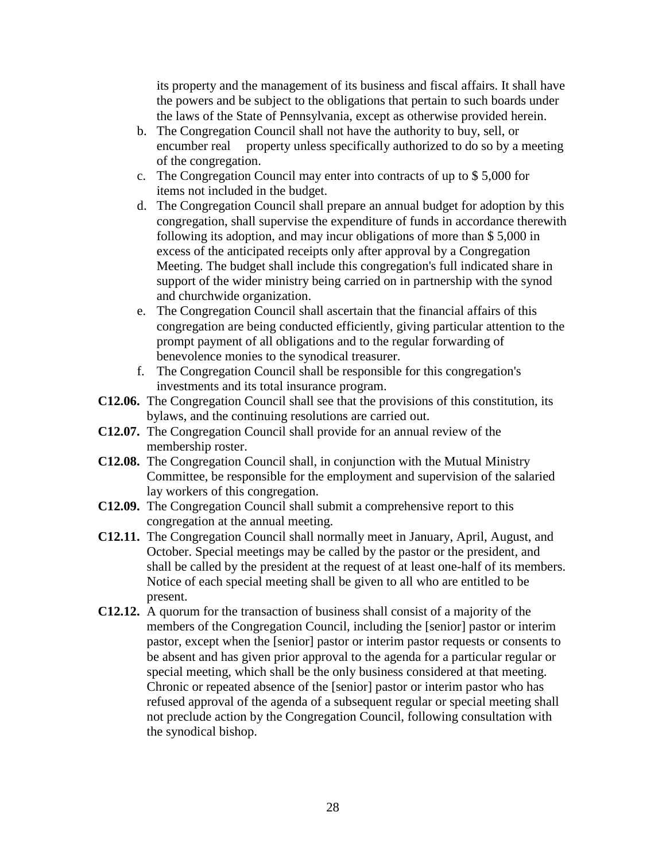its property and the management of its business and fiscal affairs. It shall have the powers and be subject to the obligations that pertain to such boards under the laws of the State of Pennsylvania, except as otherwise provided herein.

- b. The Congregation Council shall not have the authority to buy, sell, or encumber real property unless specifically authorized to do so by a meeting of the congregation.
- c. The Congregation Council may enter into contracts of up to \$ 5,000 for items not included in the budget.
- d. The Congregation Council shall prepare an annual budget for adoption by this congregation, shall supervise the expenditure of funds in accordance therewith following its adoption, and may incur obligations of more than \$ 5,000 in excess of the anticipated receipts only after approval by a Congregation Meeting. The budget shall include this congregation's full indicated share in support of the wider ministry being carried on in partnership with the synod and churchwide organization.
- e. The Congregation Council shall ascertain that the financial affairs of this congregation are being conducted efficiently, giving particular attention to the prompt payment of all obligations and to the regular forwarding of benevolence monies to the synodical treasurer.
- f. The Congregation Council shall be responsible for this congregation's investments and its total insurance program.
- **C12.06.** The Congregation Council shall see that the provisions of this constitution, its bylaws, and the continuing resolutions are carried out.
- **C12.07.** The Congregation Council shall provide for an annual review of the membership roster.
- **C12.08.** The Congregation Council shall, in conjunction with the Mutual Ministry Committee, be responsible for the employment and supervision of the salaried lay workers of this congregation.
- **C12.09.** The Congregation Council shall submit a comprehensive report to this congregation at the annual meeting.
- **C12.11.** The Congregation Council shall normally meet in January, April, August, and October. Special meetings may be called by the pastor or the president, and shall be called by the president at the request of at least one-half of its members. Notice of each special meeting shall be given to all who are entitled to be present.
- **C12.12.** A quorum for the transaction of business shall consist of a majority of the members of the Congregation Council, including the [senior] pastor or interim pastor, except when the [senior] pastor or interim pastor requests or consents to be absent and has given prior approval to the agenda for a particular regular or special meeting, which shall be the only business considered at that meeting. Chronic or repeated absence of the [senior] pastor or interim pastor who has refused approval of the agenda of a subsequent regular or special meeting shall not preclude action by the Congregation Council, following consultation with the synodical bishop.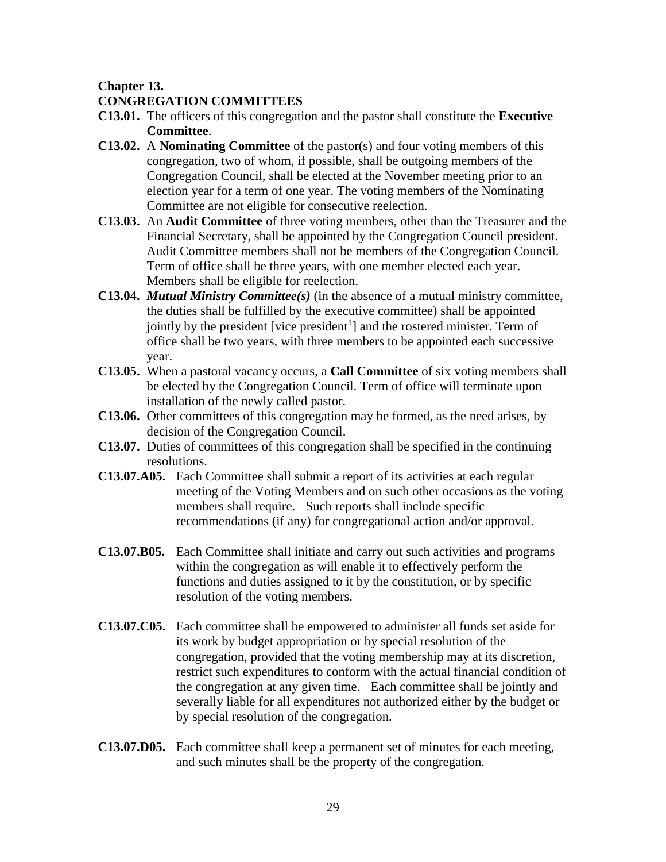### **Chapter 13.**

## **CONGREGATION COMMITTEES**

- **C13.01.** The officers of this congregation and the pastor shall constitute the **Executive Committee**.
- **C13.02.** A **Nominating Committee** of the pastor(s) and four voting members of this congregation, two of whom, if possible, shall be outgoing members of the Congregation Council, shall be elected at the November meeting prior to an election year for a term of one year. The voting members of the Nominating Committee are not eligible for consecutive reelection.
- **C13.03.** An **Audit Committee** of three voting members, other than the Treasurer and the Financial Secretary, shall be appointed by the Congregation Council president. Audit Committee members shall not be members of the Congregation Council. Term of office shall be three years, with one member elected each year. Members shall be eligible for reelection.
- **C13.04.** *Mutual Ministry Committee(s)* (in the absence of a mutual ministry committee, the duties shall be fulfilled by the executive committee) shall be appointed jointly by the president [vice president<sup>1</sup>] and the rostered minister. Term of office shall be two years, with three members to be appointed each successive year.
- **C13.05.** When a pastoral vacancy occurs, a **Call Committee** of six voting members shall be elected by the Congregation Council. Term of office will terminate upon installation of the newly called pastor.
- **C13.06.** Other committees of this congregation may be formed, as the need arises, by decision of the Congregation Council.
- **C13.07.** Duties of committees of this congregation shall be specified in the continuing resolutions.
- **C13.07.A05.** Each Committee shall submit a report of its activities at each regular meeting of the Voting Members and on such other occasions as the voting members shall require. Such reports shall include specific recommendations (if any) for congregational action and/or approval.
- **C13.07.B05.** Each Committee shall initiate and carry out such activities and programs within the congregation as will enable it to effectively perform the functions and duties assigned to it by the constitution, or by specific resolution of the voting members.
- **C13.07.C05.** Each committee shall be empowered to administer all funds set aside for its work by budget appropriation or by special resolution of the congregation, provided that the voting membership may at its discretion, restrict such expenditures to conform with the actual financial condition of the congregation at any given time. Each committee shall be jointly and severally liable for all expenditures not authorized either by the budget or by special resolution of the congregation.
- **C13.07.D05.** Each committee shall keep a permanent set of minutes for each meeting, and such minutes shall be the property of the congregation.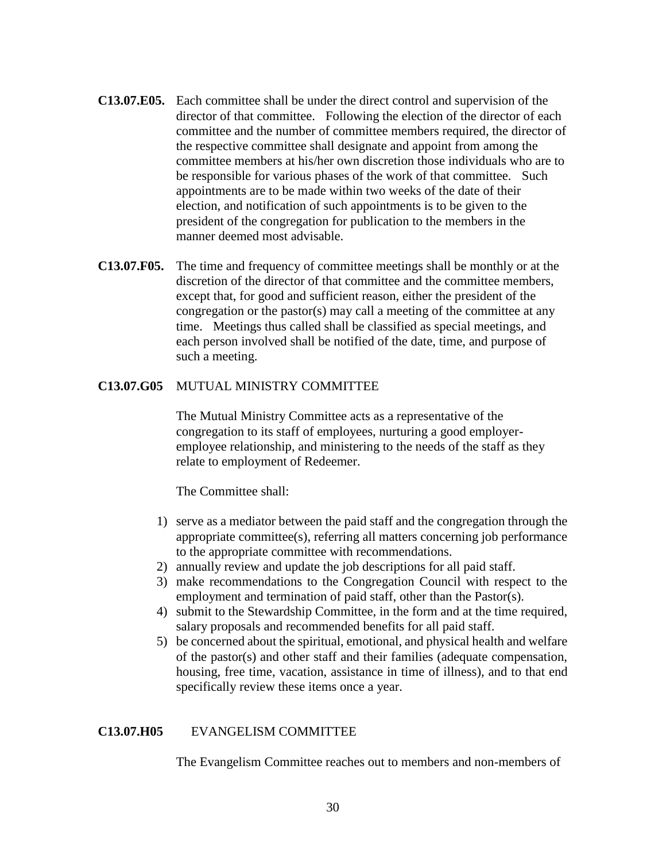- **C13.07.E05.** Each committee shall be under the direct control and supervision of the director of that committee. Following the election of the director of each committee and the number of committee members required, the director of the respective committee shall designate and appoint from among the committee members at his/her own discretion those individuals who are to be responsible for various phases of the work of that committee. Such appointments are to be made within two weeks of the date of their election, and notification of such appointments is to be given to the president of the congregation for publication to the members in the manner deemed most advisable.
- **C13.07.F05.** The time and frequency of committee meetings shall be monthly or at the discretion of the director of that committee and the committee members, except that, for good and sufficient reason, either the president of the congregation or the pastor(s) may call a meeting of the committee at any time. Meetings thus called shall be classified as special meetings, and each person involved shall be notified of the date, time, and purpose of such a meeting.

#### **C13.07.G05** MUTUAL MINISTRY COMMITTEE

The Mutual Ministry Committee acts as a representative of the congregation to its staff of employees, nurturing a good employeremployee relationship, and ministering to the needs of the staff as they relate to employment of Redeemer.

The Committee shall:

- 1) serve as a mediator between the paid staff and the congregation through the appropriate committee(s), referring all matters concerning job performance to the appropriate committee with recommendations.
- 2) annually review and update the job descriptions for all paid staff.
- 3) make recommendations to the Congregation Council with respect to the employment and termination of paid staff, other than the Pastor(s).
- 4) submit to the Stewardship Committee, in the form and at the time required, salary proposals and recommended benefits for all paid staff.
- 5) be concerned about the spiritual, emotional, and physical health and welfare of the pastor(s) and other staff and their families (adequate compensation, housing, free time, vacation, assistance in time of illness), and to that end specifically review these items once a year.

#### **C13.07.H05** EVANGELISM COMMITTEE

The Evangelism Committee reaches out to members and non-members of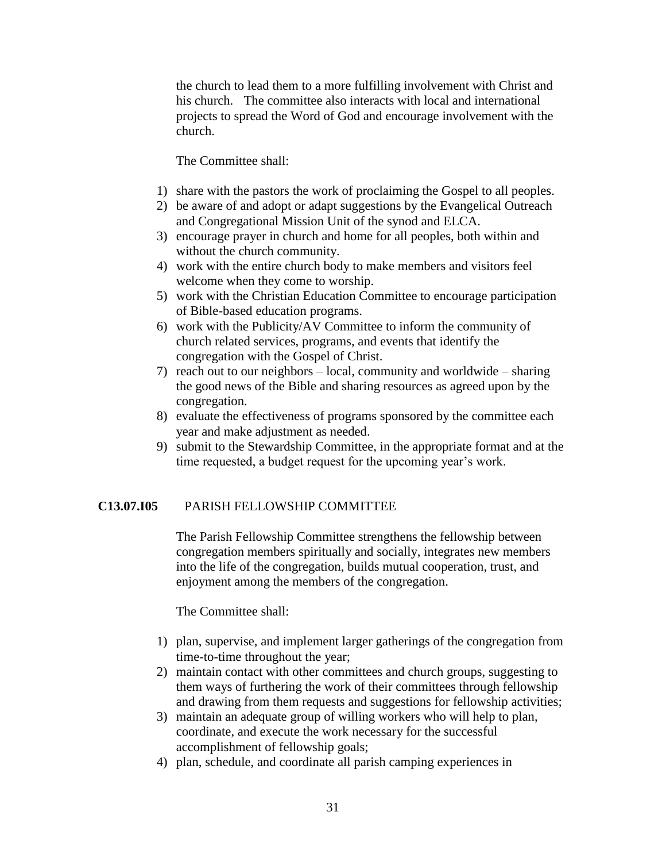the church to lead them to a more fulfilling involvement with Christ and his church. The committee also interacts with local and international projects to spread the Word of God and encourage involvement with the church.

The Committee shall:

- 1) share with the pastors the work of proclaiming the Gospel to all peoples.
- 2) be aware of and adopt or adapt suggestions by the Evangelical Outreach and Congregational Mission Unit of the synod and ELCA.
- 3) encourage prayer in church and home for all peoples, both within and without the church community.
- 4) work with the entire church body to make members and visitors feel welcome when they come to worship.
- 5) work with the Christian Education Committee to encourage participation of Bible-based education programs.
- 6) work with the Publicity/AV Committee to inform the community of church related services, programs, and events that identify the congregation with the Gospel of Christ.
- 7) reach out to our neighbors local, community and worldwide sharing the good news of the Bible and sharing resources as agreed upon by the congregation.
- 8) evaluate the effectiveness of programs sponsored by the committee each year and make adjustment as needed.
- 9) submit to the Stewardship Committee, in the appropriate format and at the time requested, a budget request for the upcoming year's work.

#### **C13.07.I05** PARISH FELLOWSHIP COMMITTEE

The Parish Fellowship Committee strengthens the fellowship between congregation members spiritually and socially, integrates new members into the life of the congregation, builds mutual cooperation, trust, and enjoyment among the members of the congregation.

The Committee shall:

- 1) plan, supervise, and implement larger gatherings of the congregation from time-to-time throughout the year;
- 2) maintain contact with other committees and church groups, suggesting to them ways of furthering the work of their committees through fellowship and drawing from them requests and suggestions for fellowship activities;
- 3) maintain an adequate group of willing workers who will help to plan, coordinate, and execute the work necessary for the successful accomplishment of fellowship goals;
- 4) plan, schedule, and coordinate all parish camping experiences in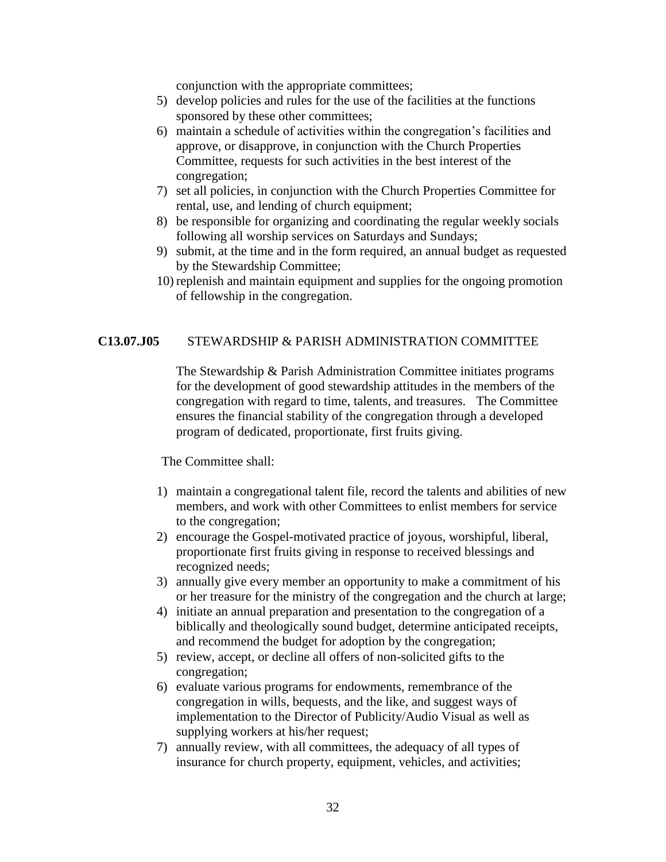conjunction with the appropriate committees;

- 5) develop policies and rules for the use of the facilities at the functions sponsored by these other committees;
- 6) maintain a schedule of activities within the congregation's facilities and approve, or disapprove, in conjunction with the Church Properties Committee, requests for such activities in the best interest of the congregation;
- 7) set all policies, in conjunction with the Church Properties Committee for rental, use, and lending of church equipment;
- 8) be responsible for organizing and coordinating the regular weekly socials following all worship services on Saturdays and Sundays;
- 9) submit, at the time and in the form required, an annual budget as requested by the Stewardship Committee;
- 10) replenish and maintain equipment and supplies for the ongoing promotion of fellowship in the congregation.

#### **C13.07.J05** STEWARDSHIP & PARISH ADMINISTRATION COMMITTEE

 The Stewardship & Parish Administration Committee initiates programs for the development of good stewardship attitudes in the members of the congregation with regard to time, talents, and treasures. The Committee ensures the financial stability of the congregation through a developed program of dedicated, proportionate, first fruits giving.

The Committee shall:

- 1) maintain a congregational talent file, record the talents and abilities of new members, and work with other Committees to enlist members for service to the congregation;
- 2) encourage the Gospel-motivated practice of joyous, worshipful, liberal, proportionate first fruits giving in response to received blessings and recognized needs;
- 3) annually give every member an opportunity to make a commitment of his or her treasure for the ministry of the congregation and the church at large;
- 4) initiate an annual preparation and presentation to the congregation of a biblically and theologically sound budget, determine anticipated receipts, and recommend the budget for adoption by the congregation;
- 5) review, accept, or decline all offers of non-solicited gifts to the congregation;
- 6) evaluate various programs for endowments, remembrance of the congregation in wills, bequests, and the like, and suggest ways of implementation to the Director of Publicity/Audio Visual as well as supplying workers at his/her request;
- 7) annually review, with all committees, the adequacy of all types of insurance for church property, equipment, vehicles, and activities;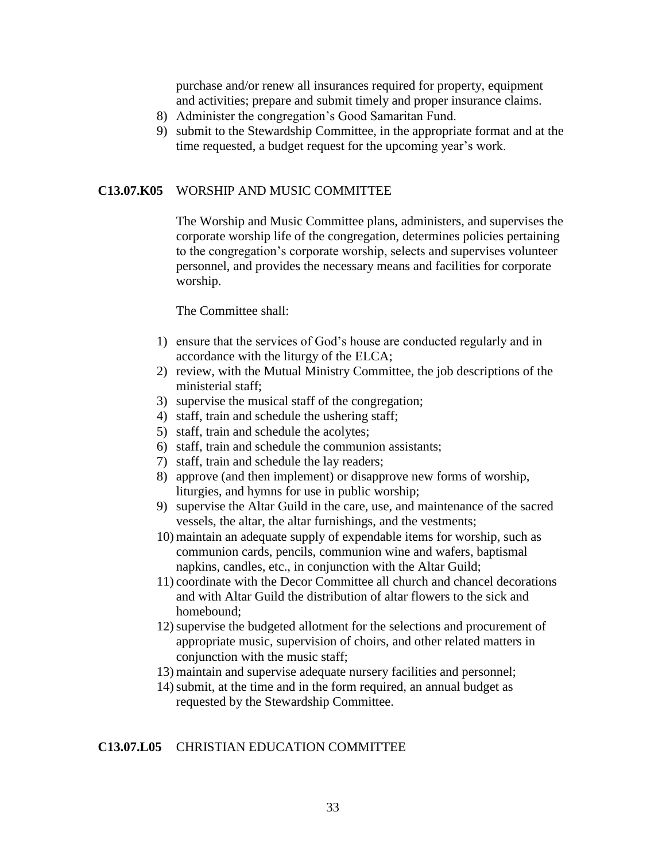purchase and/or renew all insurances required for property, equipment and activities; prepare and submit timely and proper insurance claims.

- 8) Administer the congregation's Good Samaritan Fund.
- 9) submit to the Stewardship Committee, in the appropriate format and at the time requested, a budget request for the upcoming year's work.

#### **C13.07.K05** WORSHIP AND MUSIC COMMITTEE

The Worship and Music Committee plans, administers, and supervises the corporate worship life of the congregation, determines policies pertaining to the congregation's corporate worship, selects and supervises volunteer personnel, and provides the necessary means and facilities for corporate worship.

#### The Committee shall:

- 1) ensure that the services of God's house are conducted regularly and in accordance with the liturgy of the ELCA;
- 2) review, with the Mutual Ministry Committee, the job descriptions of the ministerial staff;
- 3) supervise the musical staff of the congregation;
- 4) staff, train and schedule the ushering staff;
- 5) staff, train and schedule the acolytes;
- 6) staff, train and schedule the communion assistants;
- 7) staff, train and schedule the lay readers;
- 8) approve (and then implement) or disapprove new forms of worship, liturgies, and hymns for use in public worship;
- 9) supervise the Altar Guild in the care, use, and maintenance of the sacred vessels, the altar, the altar furnishings, and the vestments;
- 10) maintain an adequate supply of expendable items for worship, such as communion cards, pencils, communion wine and wafers, baptismal napkins, candles, etc., in conjunction with the Altar Guild;
- 11) coordinate with the Decor Committee all church and chancel decorations and with Altar Guild the distribution of altar flowers to the sick and homebound;
- 12)supervise the budgeted allotment for the selections and procurement of appropriate music, supervision of choirs, and other related matters in conjunction with the music staff;
- 13) maintain and supervise adequate nursery facilities and personnel;
- 14) submit, at the time and in the form required, an annual budget as requested by the Stewardship Committee.

#### **C13.07.L05** CHRISTIAN EDUCATION COMMITTEE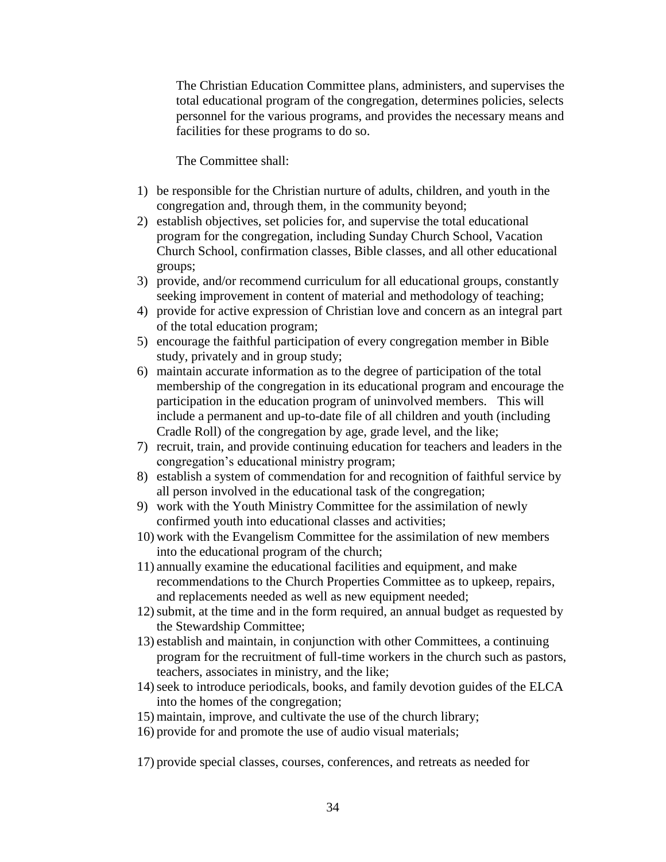The Christian Education Committee plans, administers, and supervises the total educational program of the congregation, determines policies, selects personnel for the various programs, and provides the necessary means and facilities for these programs to do so.

The Committee shall:

- 1) be responsible for the Christian nurture of adults, children, and youth in the congregation and, through them, in the community beyond;
- 2) establish objectives, set policies for, and supervise the total educational program for the congregation, including Sunday Church School, Vacation Church School, confirmation classes, Bible classes, and all other educational groups;
- 3) provide, and/or recommend curriculum for all educational groups, constantly seeking improvement in content of material and methodology of teaching;
- 4) provide for active expression of Christian love and concern as an integral part of the total education program;
- 5) encourage the faithful participation of every congregation member in Bible study, privately and in group study;
- 6) maintain accurate information as to the degree of participation of the total membership of the congregation in its educational program and encourage the participation in the education program of uninvolved members. This will include a permanent and up-to-date file of all children and youth (including Cradle Roll) of the congregation by age, grade level, and the like;
- 7) recruit, train, and provide continuing education for teachers and leaders in the congregation's educational ministry program;
- 8) establish a system of commendation for and recognition of faithful service by all person involved in the educational task of the congregation;
- 9) work with the Youth Ministry Committee for the assimilation of newly confirmed youth into educational classes and activities;
- 10) work with the Evangelism Committee for the assimilation of new members into the educational program of the church;
- 11) annually examine the educational facilities and equipment, and make recommendations to the Church Properties Committee as to upkeep, repairs, and replacements needed as well as new equipment needed;
- 12)submit, at the time and in the form required, an annual budget as requested by the Stewardship Committee;
- 13) establish and maintain, in conjunction with other Committees, a continuing program for the recruitment of full-time workers in the church such as pastors, teachers, associates in ministry, and the like;
- 14)seek to introduce periodicals, books, and family devotion guides of the ELCA into the homes of the congregation;
- 15) maintain, improve, and cultivate the use of the church library;
- 16) provide for and promote the use of audio visual materials;

17) provide special classes, courses, conferences, and retreats as needed for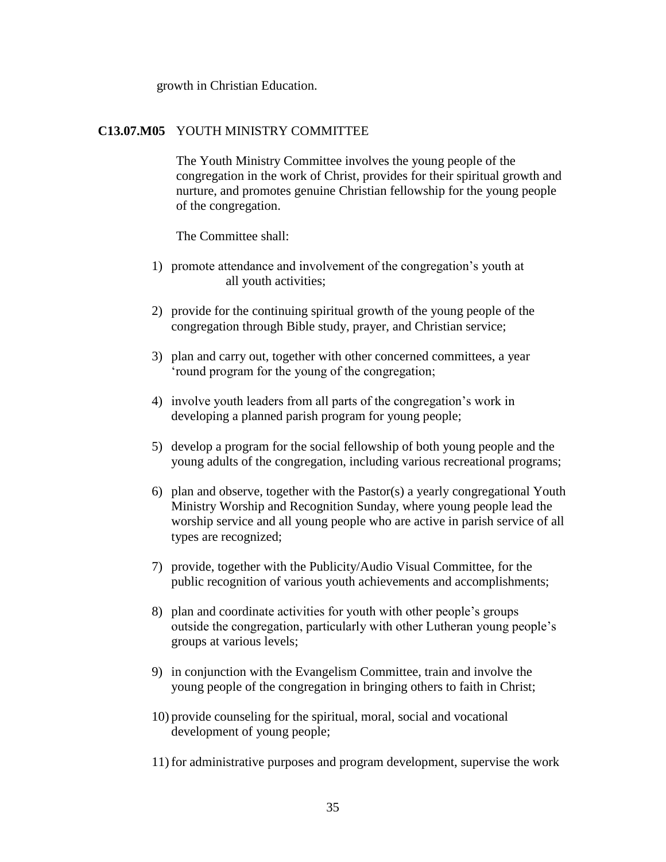growth in Christian Education.

#### **C13.07.M05** YOUTH MINISTRY COMMITTEE

The Youth Ministry Committee involves the young people of the congregation in the work of Christ, provides for their spiritual growth and nurture, and promotes genuine Christian fellowship for the young people of the congregation.

The Committee shall:

- 1) promote attendance and involvement of the congregation's youth at all youth activities;
- 2) provide for the continuing spiritual growth of the young people of the congregation through Bible study, prayer, and Christian service;
- 3) plan and carry out, together with other concerned committees, a year 'round program for the young of the congregation;
- 4) involve youth leaders from all parts of the congregation's work in developing a planned parish program for young people;
- 5) develop a program for the social fellowship of both young people and the young adults of the congregation, including various recreational programs;
- 6) plan and observe, together with the Pastor(s) a yearly congregational Youth Ministry Worship and Recognition Sunday, where young people lead the worship service and all young people who are active in parish service of all types are recognized;
- 7) provide, together with the Publicity/Audio Visual Committee, for the public recognition of various youth achievements and accomplishments;
- 8) plan and coordinate activities for youth with other people's groups outside the congregation, particularly with other Lutheran young people's groups at various levels;
- 9) in conjunction with the Evangelism Committee, train and involve the young people of the congregation in bringing others to faith in Christ;
- 10) provide counseling for the spiritual, moral, social and vocational development of young people;
- 11) for administrative purposes and program development, supervise the work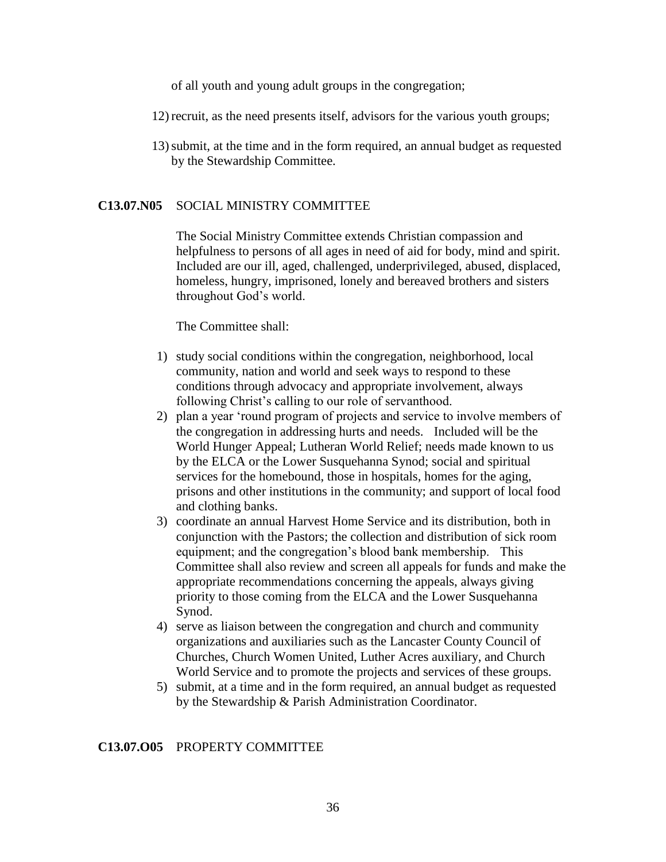of all youth and young adult groups in the congregation;

- 12) recruit, as the need presents itself, advisors for the various youth groups;
- 13)submit, at the time and in the form required, an annual budget as requested by the Stewardship Committee.

#### **C13.07.N05** SOCIAL MINISTRY COMMITTEE

The Social Ministry Committee extends Christian compassion and helpfulness to persons of all ages in need of aid for body, mind and spirit. Included are our ill, aged, challenged, underprivileged, abused, displaced, homeless, hungry, imprisoned, lonely and bereaved brothers and sisters throughout God's world.

#### The Committee shall:

- 1) study social conditions within the congregation, neighborhood, local community, nation and world and seek ways to respond to these conditions through advocacy and appropriate involvement, always following Christ's calling to our role of servanthood.
- 2) plan a year 'round program of projects and service to involve members of the congregation in addressing hurts and needs. Included will be the World Hunger Appeal; Lutheran World Relief; needs made known to us by the ELCA or the Lower Susquehanna Synod; social and spiritual services for the homebound, those in hospitals, homes for the aging, prisons and other institutions in the community; and support of local food and clothing banks.
- 3) coordinate an annual Harvest Home Service and its distribution, both in conjunction with the Pastors; the collection and distribution of sick room equipment; and the congregation's blood bank membership. This Committee shall also review and screen all appeals for funds and make the appropriate recommendations concerning the appeals, always giving priority to those coming from the ELCA and the Lower Susquehanna Synod.
- 4) serve as liaison between the congregation and church and community organizations and auxiliaries such as the Lancaster County Council of Churches, Church Women United, Luther Acres auxiliary, and Church World Service and to promote the projects and services of these groups.
- 5) submit, at a time and in the form required, an annual budget as requested by the Stewardship & Parish Administration Coordinator.

#### **C13.07.O05** PROPERTY COMMITTEE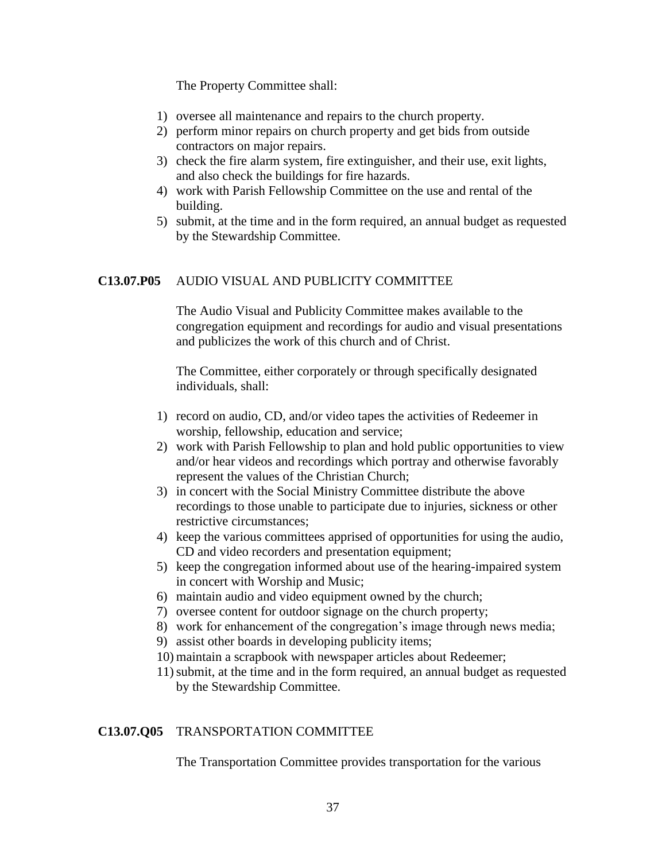The Property Committee shall:

- 1) oversee all maintenance and repairs to the church property.
- 2) perform minor repairs on church property and get bids from outside contractors on major repairs.
- 3) check the fire alarm system, fire extinguisher, and their use, exit lights, and also check the buildings for fire hazards.
- 4) work with Parish Fellowship Committee on the use and rental of the building.
- 5) submit, at the time and in the form required, an annual budget as requested by the Stewardship Committee.

### **C13.07.P05** AUDIO VISUAL AND PUBLICITY COMMITTEE

The Audio Visual and Publicity Committee makes available to the congregation equipment and recordings for audio and visual presentations and publicizes the work of this church and of Christ.

The Committee, either corporately or through specifically designated individuals, shall:

- 1) record on audio, CD, and/or video tapes the activities of Redeemer in worship, fellowship, education and service;
- 2) work with Parish Fellowship to plan and hold public opportunities to view and/or hear videos and recordings which portray and otherwise favorably represent the values of the Christian Church;
- 3) in concert with the Social Ministry Committee distribute the above recordings to those unable to participate due to injuries, sickness or other restrictive circumstances;
- 4) keep the various committees apprised of opportunities for using the audio, CD and video recorders and presentation equipment;
- 5) keep the congregation informed about use of the hearing-impaired system in concert with Worship and Music;
- 6) maintain audio and video equipment owned by the church;
- 7) oversee content for outdoor signage on the church property;
- 8) work for enhancement of the congregation's image through news media;
- 9) assist other boards in developing publicity items;
- 10) maintain a scrapbook with newspaper articles about Redeemer;
- 11)submit, at the time and in the form required, an annual budget as requested by the Stewardship Committee.

#### **C13.07.Q05** TRANSPORTATION COMMITTEE

The Transportation Committee provides transportation for the various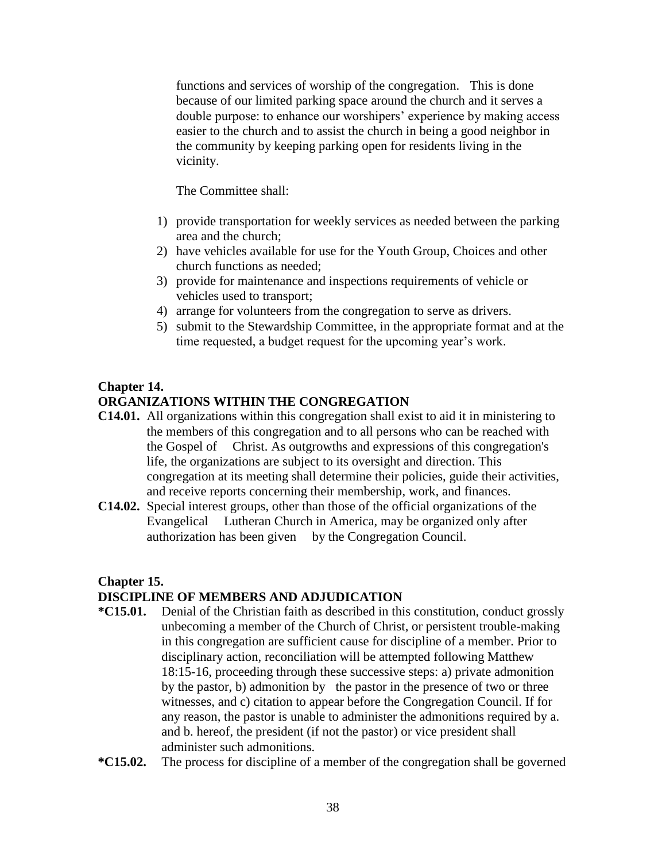functions and services of worship of the congregation. This is done because of our limited parking space around the church and it serves a double purpose: to enhance our worshipers' experience by making access easier to the church and to assist the church in being a good neighbor in the community by keeping parking open for residents living in the vicinity.

The Committee shall:

- 1) provide transportation for weekly services as needed between the parking area and the church;
- 2) have vehicles available for use for the Youth Group, Choices and other church functions as needed;
- 3) provide for maintenance and inspections requirements of vehicle or vehicles used to transport;
- 4) arrange for volunteers from the congregation to serve as drivers.
- 5) submit to the Stewardship Committee, in the appropriate format and at the time requested, a budget request for the upcoming year's work.

#### **Chapter 14.**

# **ORGANIZATIONS WITHIN THE CONGREGATION**

- **C14.01.** All organizations within this congregation shall exist to aid it in ministering to the members of this congregation and to all persons who can be reached with the Gospel of Christ. As outgrowths and expressions of this congregation's life, the organizations are subject to its oversight and direction. This congregation at its meeting shall determine their policies, guide their activities, and receive reports concerning their membership, work, and finances.
- **C14.02.** Special interest groups, other than those of the official organizations of the Evangelical Lutheran Church in America, may be organized only after authorization has been given by the Congregation Council.

#### **Chapter 15.**

#### **DISCIPLINE OF MEMBERS AND ADJUDICATION**

- **\*C15.01.** Denial of the Christian faith as described in this constitution, conduct grossly unbecoming a member of the Church of Christ, or persistent trouble-making in this congregation are sufficient cause for discipline of a member. Prior to disciplinary action, reconciliation will be attempted following Matthew 18:15-16, proceeding through these successive steps: a) private admonition by the pastor, b) admonition by the pastor in the presence of two or three witnesses, and c) citation to appear before the Congregation Council. If for any reason, the pastor is unable to administer the admonitions required by a. and b. hereof, the president (if not the pastor) or vice president shall administer such admonitions.
- **\*C15.02.** The process for discipline of a member of the congregation shall be governed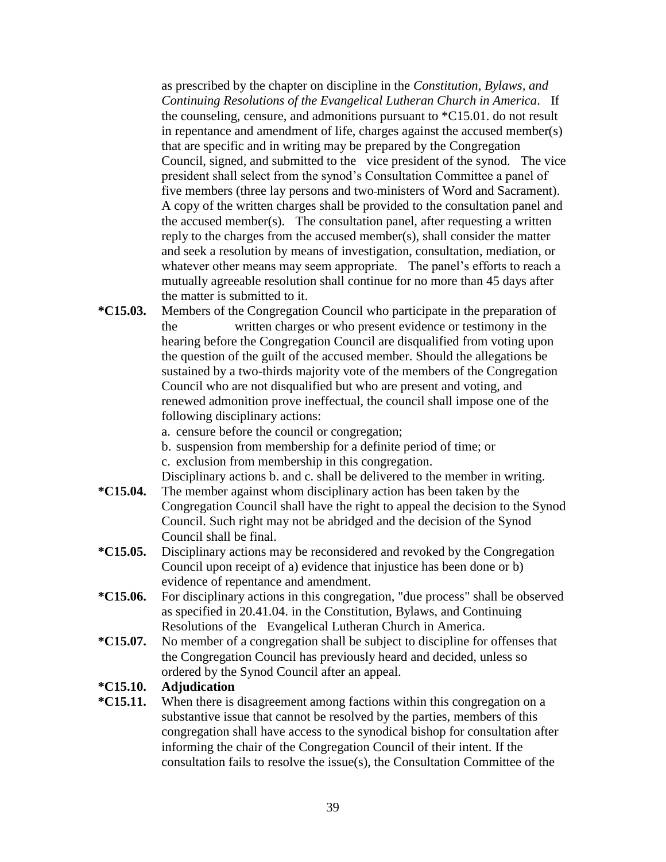as prescribed by the chapter on discipline in the *Constitution, Bylaws, and Continuing Resolutions of the Evangelical Lutheran Church in America*. If the counseling, censure, and admonitions pursuant to \*C15.01. do not result in repentance and amendment of life, charges against the accused member(s) that are specific and in writing may be prepared by the Congregation Council, signed, and submitted to the vice president of the synod. The vice president shall select from the synod's Consultation Committee a panel of five members (three lay persons and two ministers of Word and Sacrament). A copy of the written charges shall be provided to the consultation panel and the accused member(s). The consultation panel, after requesting a written reply to the charges from the accused member(s), shall consider the matter and seek a resolution by means of investigation, consultation, mediation, or whatever other means may seem appropriate. The panel's efforts to reach a mutually agreeable resolution shall continue for no more than 45 days after the matter is submitted to it.

- **\*C15.03.** Members of the Congregation Council who participate in the preparation of the written charges or who present evidence or testimony in the hearing before the Congregation Council are disqualified from voting upon the question of the guilt of the accused member. Should the allegations be sustained by a two-thirds majority vote of the members of the Congregation Council who are not disqualified but who are present and voting, and renewed admonition prove ineffectual, the council shall impose one of the following disciplinary actions:
	- a. censure before the council or congregation;
	- b. suspension from membership for a definite period of time; or
	- c. exclusion from membership in this congregation.

Disciplinary actions b. and c. shall be delivered to the member in writing.

- **\*C15.04.** The member against whom disciplinary action has been taken by the Congregation Council shall have the right to appeal the decision to the Synod Council. Such right may not be abridged and the decision of the Synod Council shall be final.
- **\*C15.05.** Disciplinary actions may be reconsidered and revoked by the Congregation Council upon receipt of a) evidence that injustice has been done or b) evidence of repentance and amendment.
- **\*C15.06.** For disciplinary actions in this congregation, "due process" shall be observed as specified in 20.41.04. in the Constitution, Bylaws, and Continuing Resolutions of the Evangelical Lutheran Church in America.
- **\*C15.07.** No member of a congregation shall be subject to discipline for offenses that the Congregation Council has previously heard and decided, unless so ordered by the Synod Council after an appeal.

#### **\*C15.10. Adjudication**

**\*C15.11.** When there is disagreement among factions within this congregation on a substantive issue that cannot be resolved by the parties, members of this congregation shall have access to the synodical bishop for consultation after informing the chair of the Congregation Council of their intent. If the consultation fails to resolve the issue(s), the Consultation Committee of the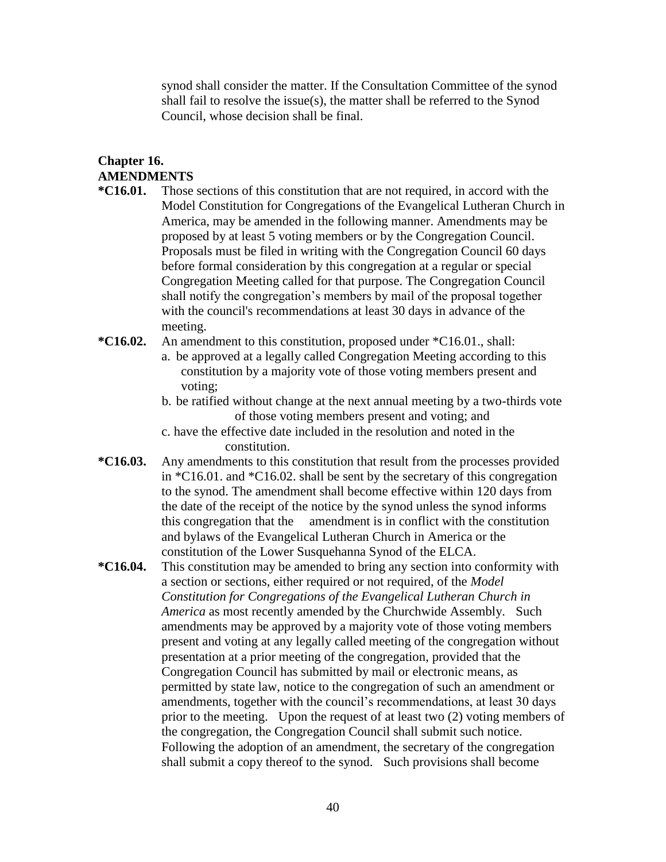synod shall consider the matter. If the Consultation Committee of the synod shall fail to resolve the issue(s), the matter shall be referred to the Synod Council, whose decision shall be final.

# **Chapter 16. AMENDMENTS**

- **\*C16.01.** Those sections of this constitution that are not required, in accord with the Model Constitution for Congregations of the Evangelical Lutheran Church in America, may be amended in the following manner. Amendments may be proposed by at least 5 voting members or by the Congregation Council. Proposals must be filed in writing with the Congregation Council 60 days before formal consideration by this congregation at a regular or special Congregation Meeting called for that purpose. The Congregation Council shall notify the congregation's members by mail of the proposal together with the council's recommendations at least 30 days in advance of the meeting.
- **\*C16.02.** An amendment to this constitution, proposed under \*C16.01., shall:
	- a. be approved at a legally called Congregation Meeting according to this constitution by a majority vote of those voting members present and voting;
	- b. be ratified without change at the next annual meeting by a two-thirds vote of those voting members present and voting; and
	- c. have the effective date included in the resolution and noted in the constitution.
- **\*C16.03.** Any amendments to this constitution that result from the processes provided in \*C16.01. and \*C16.02. shall be sent by the secretary of this congregation to the synod. The amendment shall become effective within 120 days from the date of the receipt of the notice by the synod unless the synod informs this congregation that the amendment is in conflict with the constitution and bylaws of the Evangelical Lutheran Church in America or the constitution of the Lower Susquehanna Synod of the ELCA.
- **\*C16.04.** This constitution may be amended to bring any section into conformity with a section or sections, either required or not required, of the *Model Constitution for Congregations of the Evangelical Lutheran Church in America* as most recently amended by the Churchwide Assembly. Such amendments may be approved by a majority vote of those voting members present and voting at any legally called meeting of the congregation without presentation at a prior meeting of the congregation, provided that the Congregation Council has submitted by mail or electronic means, as permitted by state law, notice to the congregation of such an amendment or amendments, together with the council's recommendations, at least 30 days prior to the meeting. Upon the request of at least two (2) voting members of the congregation, the Congregation Council shall submit such notice. Following the adoption of an amendment, the secretary of the congregation shall submit a copy thereof to the synod. Such provisions shall become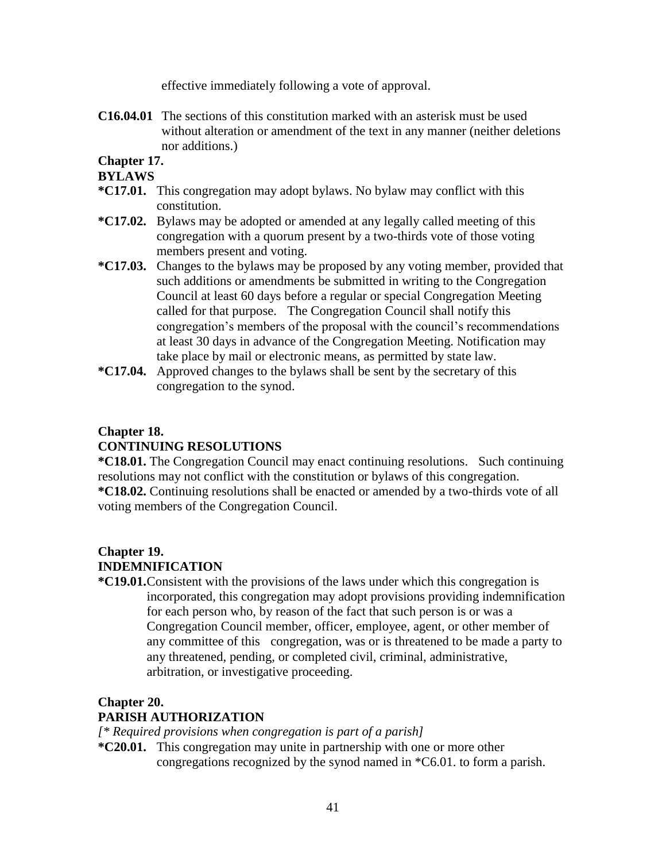effective immediately following a vote of approval.

**C16.04.01** The sections of this constitution marked with an asterisk must be used without alteration or amendment of the text in any manner (neither deletions nor additions.)

# **Chapter 17.**

#### **BYLAWS**

- **\*C17.01.** This congregation may adopt bylaws. No bylaw may conflict with this constitution.
- **\*C17.02.** Bylaws may be adopted or amended at any legally called meeting of this congregation with a quorum present by a two-thirds vote of those voting members present and voting.
- **\*C17.03.** Changes to the bylaws may be proposed by any voting member, provided that such additions or amendments be submitted in writing to the Congregation Council at least 60 days before a regular or special Congregation Meeting called for that purpose. The Congregation Council shall notify this congregation's members of the proposal with the council's recommendations at least 30 days in advance of the Congregation Meeting. Notification may take place by mail or electronic means, as permitted by state law.
- **\*C17.04.** Approved changes to the bylaws shall be sent by the secretary of this congregation to the synod.

#### **Chapter 18.**

## **CONTINUING RESOLUTIONS**

**\*C18.01.** The Congregation Council may enact continuing resolutions. Such continuing resolutions may not conflict with the constitution or bylaws of this congregation. **\*C18.02.** Continuing resolutions shall be enacted or amended by a two-thirds vote of all voting members of the Congregation Council.

# **Chapter 19. INDEMNIFICATION**

**\*C19.01.**Consistent with the provisions of the laws under which this congregation is incorporated, this congregation may adopt provisions providing indemnification for each person who, by reason of the fact that such person is or was a Congregation Council member, officer, employee, agent, or other member of any committee of this congregation, was or is threatened to be made a party to any threatened, pending, or completed civil, criminal, administrative, arbitration, or investigative proceeding.

#### **Chapter 20.**

#### **PARISH AUTHORIZATION**

*[\* Required provisions when congregation is part of a parish]*

**\*C20.01.** This congregation may unite in partnership with one or more other congregations recognized by the synod named in \*C6.01. to form a parish.